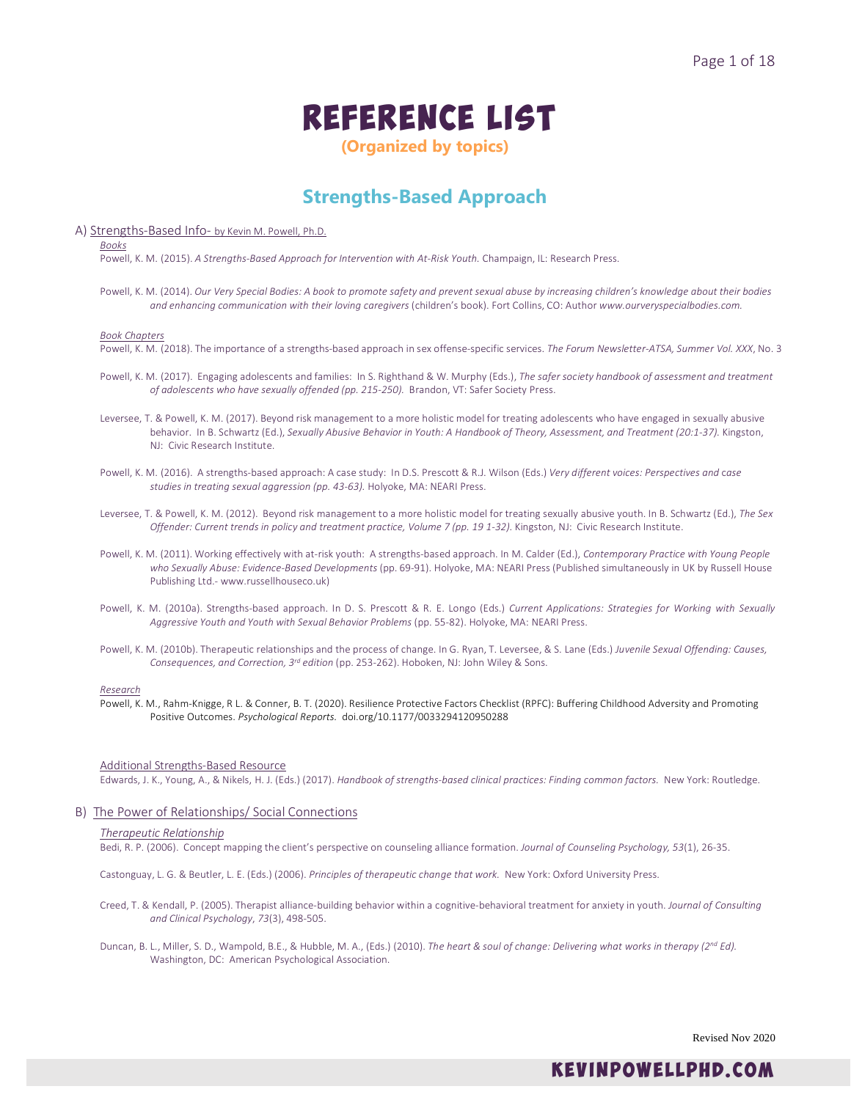# Reference List

**(Organized by topics)**

### **Strengths-Based Approach**

### A) Strengths-Based Info- by Kevin M. Powell, Ph.D.

*Books*

Powell, K. M. (2015). *A Strengths-Based Approach for Intervention with At-Risk Youth.* Champaign, IL: Research Press.

Powell, K. M. (2014). *Our Very Special Bodies: A book to promote safety and prevent sexual abuse by increasing children's knowledge about their bodies and enhancing communication with their loving caregivers* (children's book). Fort Collins, CO: Author *www.ourveryspecialbodies.com.*

#### *Book Chapters*

Powell, K. M. (2018). The importance of a strengths-based approach in sex offense-specific services. *The Forum Newsletter-ATSA, Summer Vol. XXX*, No. 3

- Powell, K. M. (2017). Engaging adolescents and families: In S. Righthand & W. Murphy (Eds.), *The safer society handbook of assessment and treatment of adolescents who have sexually offended (pp. 215-250).* Brandon, VT: Safer Society Press.
- Leversee, T. & Powell, K. M. (2017). Beyond risk management to a more holistic model for treating adolescents who have engaged in sexually abusive behavior. In B. Schwartz (Ed.), *Sexually Abusive Behavior in Youth: A Handbook of Theory, Assessment, and Treatment (20:1-37).* Kingston, NJ: Civic Research Institute.
- Powell, K. M. (2016). A strengths-based approach: A case study: In D.S. Prescott & R.J. Wilson (Eds.) *Very different voices: Perspectives and* c*ase studies in treating sexual aggression (pp. 43-63).* Holyoke, MA: NEARI Press.
- Leversee, T. & Powell, K. M. (2012). Beyond risk management to a more holistic model for treating sexually abusive youth. In B. Schwartz (Ed.), *The Sex Offender: Current trends in policy and treatment practice, Volume 7 (pp. 19 1-32).* Kingston, NJ: Civic Research Institute.
- Powell, K. M. (2011). Working effectively with at-risk youth: A strengths-based approach. In M. Calder (Ed.), *Contemporary Practice with Young People*  who Sexually Abuse: Evidence-Based Developments (pp. 69-91). Holyoke, MA: NEARI Press (Published simultaneously in UK by Russell House Publishing Ltd.- www.russellhouseco.uk)
- Powell, K. M. (2010a). Strengths-based approach. In D. S. Prescott & R. E. Longo (Eds.) *Current Applications: Strategies for Working with Sexually Aggressive Youth and Youth with Sexual Behavior Problems* (pp. 55-82). Holyoke, MA: NEARI Press.
- Powell, K. M. (2010b). Therapeutic relationships and the process of change. In G. Ryan, T. Leversee, & S. Lane (Eds.) *Juvenile Sexual Offending: Causes, Consequences, and Correction, 3rd edition* (pp. 253-262). Hoboken, NJ: John Wiley & Sons.

#### *Research*

Powell, K. M., Rahm-Knigge, R L. & Conner, B. T. (2020). Resilience Protective Factors Checklist (RPFC): Buffering Childhood Adversity and Promoting Positive Outcomes. *Psychological Reports.* [doi.org/10.1177/0033294120950288](https://doi.org/10.1177%2F0033294120950288)

#### Additional Strengths-Based Resource

Edwards, J. K., Young, A., & Nikels, H. J. (Eds.) (2017). *Handbook of strengths-based clinical practices: Finding common factors.* New York: Routledge.

### B) The Power of Relationships/ Social Connections

### *Therapeutic Relationship*

Bedi, R. P. (2006). Concept mapping the client's perspective on counseling alliance formation. *Journal of Counseling Psychology, 53*(1), 26-35.

Castonguay, L. G. & Beutler, L. E. (Eds.) (2006). *Principles of therapeutic change that work.* New York: Oxford University Press.

- Creed, T. & Kendall, P. (2005). Therapist alliance-building behavior within a cognitive-behavioral treatment for anxiety in youth. *Journal of Consulting and Clinical Psychology*, *73*(3), 498-505.
- Duncan, B. L., Miller, S. D., Wampold, B.E., & Hubble, M. A., (Eds.) (2010). *The heart & soul of change: Delivering what works in therapy (2nd Ed).* Washington, DC: American Psychological Association.

Revised Nov 2020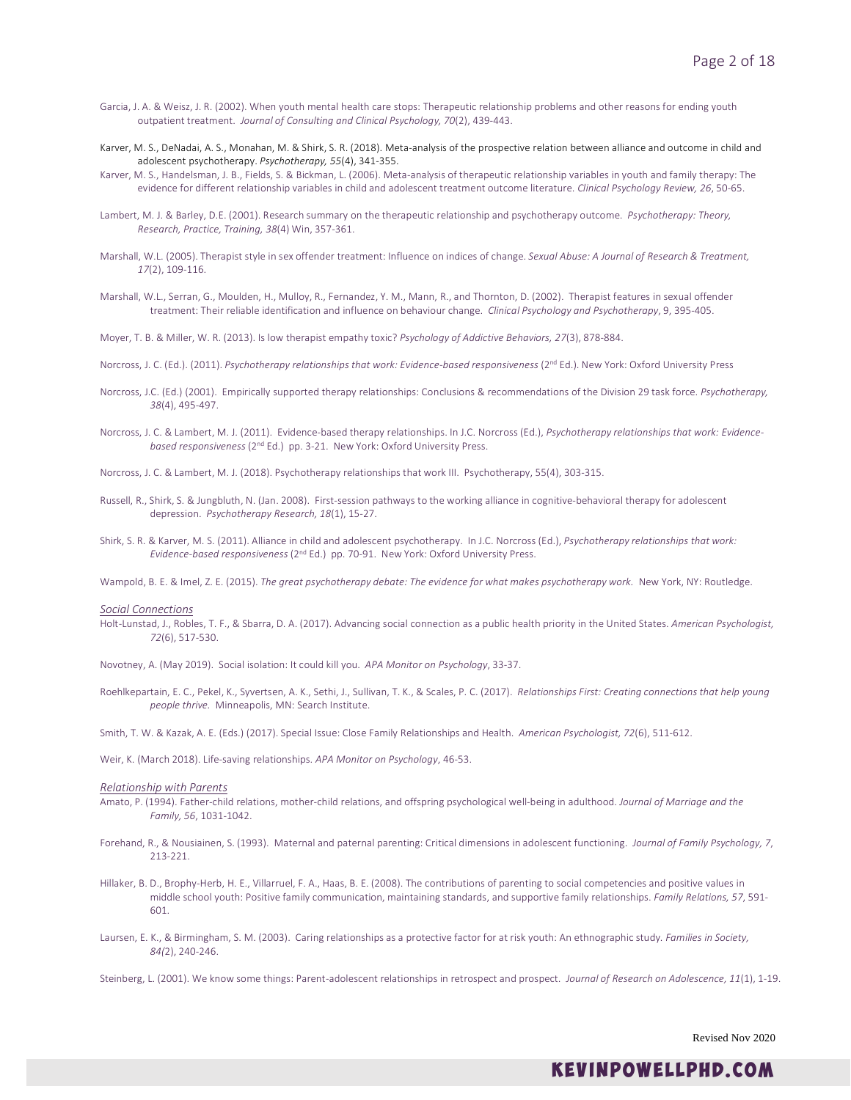- Garcia, J. A. & Weisz, J. R. (2002). When youth mental health care stops: Therapeutic relationship problems and other reasons for ending youth outpatient treatment. *Journal of Consulting and Clinical Psychology, 70*(2), 439-443.
- Karver, M. S., DeNadai, A. S., Monahan, M. & Shirk, S. R. (2018). Meta-analysis of the prospective relation between alliance and outcome in child and adolescent psychotherapy. *Psychotherapy, 55*(4), 341-355.
- Karver, M. S., Handelsman, J. B., Fields, S. & Bickman, L. (2006). Meta-analysis of therapeutic relationship variables in youth and family therapy: The evidence for different relationship variables in child and adolescent treatment outcome literature. *Clinical Psychology Review, 26*, 50-65.
- Lambert, M. J. & Barley, D.E. (2001). Research summary on the therapeutic relationship and psychotherapy outcome. *Psychotherapy: Theory, Research, Practice, Training, 38*(4) Win, 357-361.
- Marshall, W.L. (2005). Therapist style in sex offender treatment: Influence on indices of change. *Sexual Abuse: A Journal of Research & Treatment, 17*(2), 109-116.
- Marshall, W.L., Serran, G., Moulden, H., Mulloy, R., Fernandez, Y. M., Mann, R., and Thornton, D. (2002). Therapist features in sexual offender treatment: Their reliable identification and influence on behaviour change. *Clinical Psychology and Psychotherapy*, 9, 395-405.

Moyer, T. B. & Miller, W. R. (2013). Is low therapist empathy toxic? *Psychology of Addictive Behaviors, 27*(3), 878-884.

Norcross, J. C. (Ed.). (2011). *Psychotherapy relationships that work: Evidence-based responsiveness* (2nd Ed.). New York: Oxford University Press

- Norcross, J.C. (Ed.) (2001). Empirically supported therapy relationships: Conclusions & recommendations of the Division 29 task force. *Psychotherapy, 38*(4), 495-497.
- Norcross, J. C. & Lambert, M. J. (2011). Evidence-based therapy relationships. In J.C. Norcross (Ed.), *Psychotherapy relationships that work: Evidencebased responsiveness* (2nd Ed.) pp. 3-21. New York: Oxford University Press.
- Norcross, J. C. & Lambert, M. J. (2018). Psychotherapy relationships that work III. Psychotherapy, 55(4), 303-315.
- Russell, R., Shirk, S. & Jungbluth, N. (Jan. 2008). First-session pathways to the working alliance in cognitive-behavioral therapy for adolescent depression. *Psychotherapy Research, 18*(1), 15-27.
- Shirk, S. R. & Karver, M. S. (2011). Alliance in child and adolescent psychotherapy. In J.C. Norcross (Ed.), *Psychotherapy relationships that work: Evidence-based responsiveness* (2nd Ed.) pp. 70-91. New York: Oxford University Press.

Wampold, B. E. & Imel, Z. E. (2015). The great psychotherapy debate: The evidence for what makes psychotherapy work. New York, NY: Routledge.

#### *Social Connections*

Holt-Lunstad, J., Robles, T. F., & Sbarra, D. A. (2017). Advancing social connection as a public health priority in the United States. *American Psychologist, 72*(6), 517-530.

Novotney, A. (May 2019). Social isolation: It could kill you. *APA Monitor on Psychology*, 33-37.

Roehlkepartain, E. C., Pekel, K., Syvertsen, A. K., Sethi, J., Sullivan, T. K., & Scales, P. C. (2017). *Relationships First: Creating connections that help young people thrive.* Minneapolis, MN: Search Institute.

Smith, T. W. & Kazak, A. E. (Eds.) (2017). Special Issue: Close Family Relationships and Health. *American Psychologist, 72*(6), 511-612.

Weir, K. (March 2018). Life-saving relationships. *APA Monitor on Psychology*, 46-53.

### *Relationship with Parents*

- Amato, P. (1994). Father-child relations, mother-child relations, and offspring psychological well-being in adulthood. *Journal of Marriage and the Family, 56*, 1031-1042.
- Forehand, R., & Nousiainen, S. (1993). Maternal and paternal parenting: Critical dimensions in adolescent functioning. *Journal of Family Psychology, 7*, 213-221.
- Hillaker, B. D., Brophy-Herb, H. E., Villarruel, F. A., Haas, B. E. (2008). The contributions of parenting to social competencies and positive values in middle school youth: Positive family communication, maintaining standards, and supportive family relationships. *Family Relations, 57*, 591- 601.
- Laursen, E. K., & Birmingham, S. M. (2003). Caring relationships as a protective factor for at risk youth: An ethnographic study*. Families in Society, 84(*2), 240-246.
- Steinberg, L. (2001). We know some things: Parent-adolescent relationships in retrospect and prospect. *Journal of Research on Adolescence, 11*(1), 1-19.

Revised Nov 2020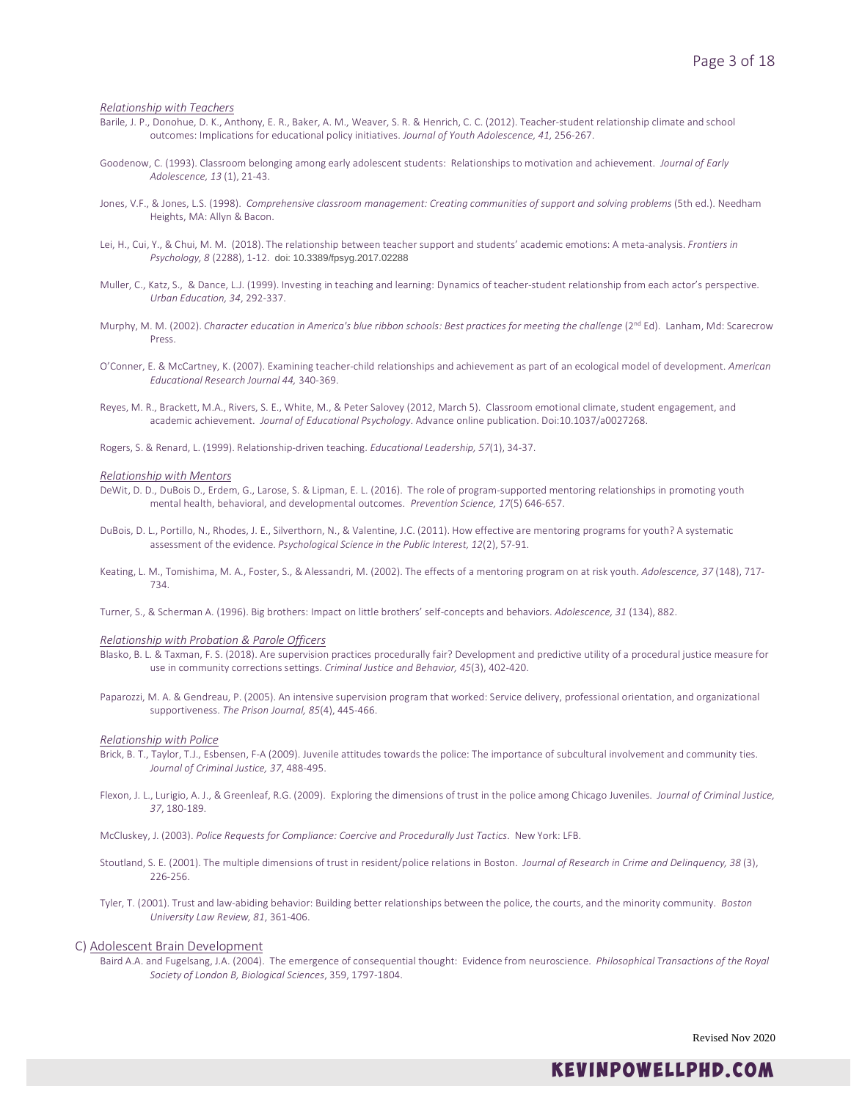### *Relationship with Teachers*

- Barile, J. P., Donohue, D. K., Anthony, E. R., Baker, A. M., Weaver, S. R. & Henrich, C. C. (2012). Teacher-student relationship climate and school outcomes: Implications for educational policy initiatives. *Journal of Youth Adolescence, 41,* 256-267.
- Goodenow, C. (1993). Classroom belonging among early adolescent students: Relationships to motivation and achievement. *Journal of Early Adolescence, 13* (1), 21-43.
- Jones, V.F., & Jones, L.S. (1998). *Comprehensive classroom management: Creating communities of support and solving problems* (5th ed.). Needham Heights, MA: Allyn & Bacon.
- Lei, H., Cui, Y., & Chui, M. M. (2018). The relationship between teacher support and students' academic emotions: A meta-analysis. *Frontiers in Psychology, 8* (2288), 1-12. doi: 10.3389/fpsyg.2017.02288
- Muller, C., Katz, S., & Dance, L.J. (1999). Investing in teaching and learning: Dynamics of teacher-student relationship from each actor's perspective. *Urban Education, 34*, 292-337.
- Murphy, M. M. (2002). *Character education in America's blue ribbon schools: Best practices for meeting the challenge* (2<sup>nd</sup> Ed). Lanham, Md: Scarecrow Press.
- O'Conner, E. & McCartney, K. (2007). Examining teacher-child relationships and achievement as part of an ecological model of development. *American Educational Research Journal 44,* 340-369.
- Reyes, M. R., Brackett, M.A., Rivers, S. E., White, M., & Peter Salovey (2012, March 5). Classroom emotional climate, student engagement, and academic achievement. *Journal of Educational Psychology*. Advance online publication. Doi:10.1037/a0027268.
- Rogers, S. & Renard, L. (1999). Relationship-driven teaching. *Educational Leadership, 57*(1), 34-37.

#### *Relationship with Mentors*

- DeWit, D. D., DuBois D., Erdem, G., Larose, S. & Lipman, E. L. (2016). The role of program-supported mentoring relationships in promoting youth mental health, behavioral, and developmental outcomes. *Prevention Science, 17*(5) 646-657.
- DuBois, D. L., Portillo, N., Rhodes, J. E., Silverthorn, N., & Valentine, J.C. (2011). How effective are mentoring programs for youth? A systematic assessment of the evidence. *Psychological Science in the Public Interest, 12*(2), 57-91.
- Keating, L. M., Tomishima, M. A., Foster, S., & Alessandri, M. (2002). The effects of a mentoring program on at risk youth. *Adolescence, 37* (148), 717- 734.
- Turner, S., & Scherman A. (1996). Big brothers: Impact on little brothers' self-concepts and behaviors. *Adolescence, 31* (134), 882.

#### *Relationship with Probation & Parole Officers*

- Blasko, B. L. & Taxman, F. S. (2018). Are supervision practices procedurally fair? Development and predictive utility of a procedural justice measure for use in community corrections settings. *Criminal Justice and Behavior, 45*(3), 402-420.
- Paparozzi, M. A. & Gendreau, P. (2005). An intensive supervision program that worked: Service delivery, professional orientation, and organizational supportiveness. *The Prison Journal, 85*(4), 445-466.

#### *Relationship with Police*

- Brick, B. T., Taylor, T.J., Esbensen, F-A (2009). Juvenile attitudes towards the police: The importance of subcultural involvement and community ties. *Journal of Criminal Justice, 37*, 488-495.
- Flexon, J. L., Lurigio, A. J., & Greenleaf, R.G. (2009). Exploring the dimensions of trust in the police among Chicago Juveniles. *Journal of Criminal Justice, 37*, 180-189.

McCluskey, J. (2003). *Police Requests for Compliance: Coercive and Procedurally Just Tactics*. New York: LFB.

- Stoutland, S. E. (2001). The multiple dimensions of trust in resident/police relations in Boston. *Journal of Research in Crime and Delinquency, 38* (3), 226-256.
- Tyler, T. (2001). Trust and law-abiding behavior: Building better relationships between the police, the courts, and the minority community. *Boston University Law Review, 81*, 361-406.

### C) Adolescent Brain Development

Baird A.A. and Fugelsang, J.A. (2004). The emergence of consequential thought: Evidence from neuroscience. *Philosophical Transactions of the Royal Society of London B, Biological Sciences*, 359, 1797-1804.

Revised Nov 2020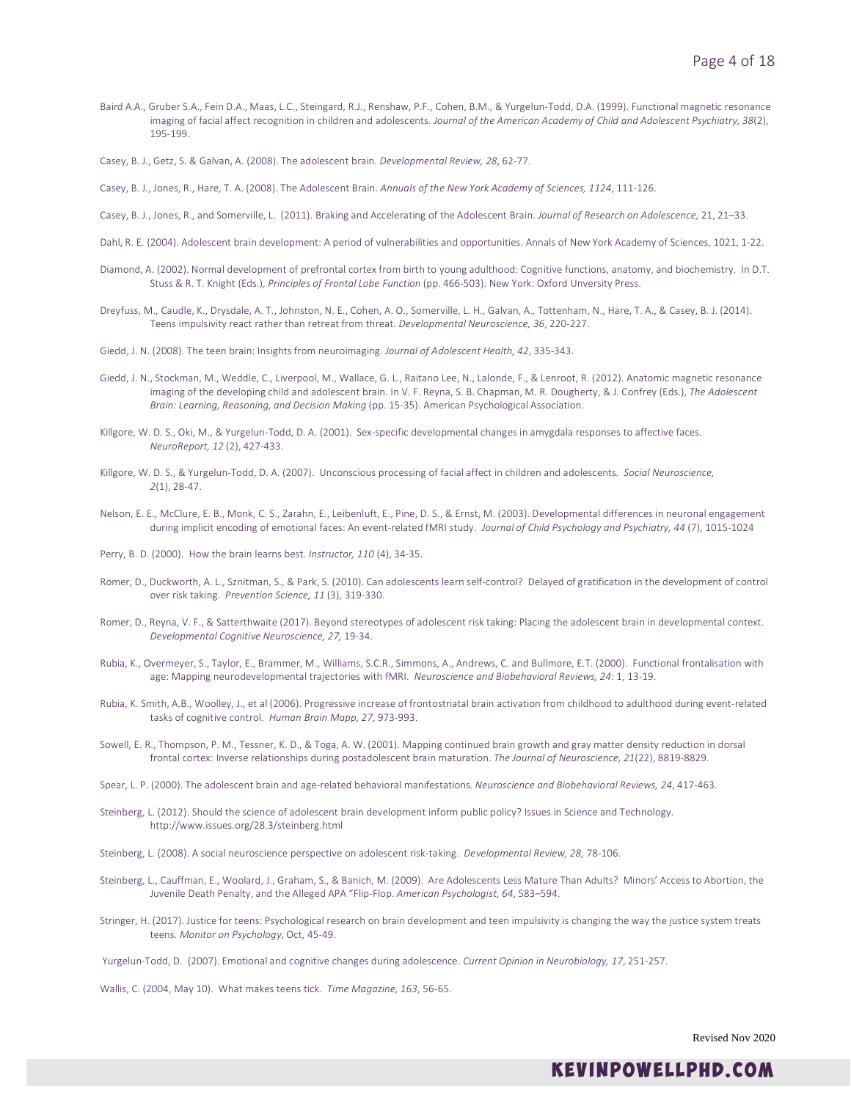Baird A.A., Gruber S.A., Fein D.A., Maas, L.C., Steingard, R.J., Renshaw, P.F., Cohen, B.M., & Yurgelun-Todd, D.A. (1999). Functional magnetic resonance imaging of facial affect recognition in children and adolescents. *Journal of the American Academy of Child and Adolescent Psychiatry, 38*(2), 195-199.

Casey, B. J., Getz, S. & Galvan, A. (2008). The adolescent brain*. Developmental Review, 28*, 62-77.

Casey, B. J., Jones, R., Hare, T. A. (2008). The Adolescent Brain. *Annuals of the New York Academy of Sciences, 1124*, 111-126.

- Casey, B. J., Jones, R., and Somerville, L. (2011). Braking and Accelerating of the Adolescent Brain. *Journal of Research on Adolescence,* 21, 21–33.
- Dahl, R. E. (2004). Adolescent brain development: A period of vulnerabilities and opportunities. Annals of New York Academy of Sciences, 1021, 1-22.
- Diamond, A. (2002). Normal development of prefrontal cortex from birth to young adulthood: Cognitive functions, anatomy, and biochemistry. In D.T. Stuss & R. T. Knight (Eds.), *Principles of Frontal Lobe Function* (pp. 466-503). New York: Oxford Unversity Press.
- Dreyfuss, M., Caudle, K., Drysdale, A. T., Johnston, N. E., Cohen, A. O., Somerville, L. H., Galvan, A., Tottenham, N., Hare, T. A., & Casey, B. J. (2014). Teens impulsivity react rather than retreat from threat. *Developmental Neuroscience, 36*, 220-227.
- Giedd, J. N. (2008). The teen brain: Insights from neuroimaging. *Journal of Adolescent Health, 42*, 335-343.
- Giedd, J. N., Stockman, M., Weddle, C., Liverpool, M., Wallace, G. L., Raitano Lee, N., Lalonde, F., & Lenroot, R. (2012). Anatomic magnetic resonance imaging of the developing child and adolescent brain. In V. F. Reyna, S. B. Chapman, M. R. Dougherty, & J. Confrey (Eds.), *The Adolescent Brain: Learning, Reasoning, and Decision Making* (pp. 15-35). American Psychological Association.
- Killgore, W. D. S., Oki, M., & Yurgelun-Todd, D. A. (2001). Sex-specific developmental changes in amygdala responses to affective faces. *NeuroReport, 12* (2), 427-433.
- Killgore, W. D. S., & Yurgelun-Todd, D. A. (2007). Unconscious processing of facial affect in children and adolescents*. Social Neuroscience, 2*(1), 28-47.
- Nelson, E. E., McClure, E. B., Monk, C. S., Zarahn, E., Leibenluft, E., Pine, D. S., & Ernst, M. (2003). Developmental differences in neuronal engagement during implicit encoding of emotional faces: An event-related fMRI study. *Journal of Child Psychology and Psychiatry, 44* (7), 1015-1024
- Perry, B. D. (2000). How the brain learns best*. Instructor, 110* (4), 34-35.
- Romer, D., Duckworth, A. L., Sznitman, S., & Park, S. (2010). Can adolescents learn self-control? Delayed of gratification in the development of control over risk taking. *Prevention Science, 11* (3), 319-330.
- Romer, D., Reyna, V. F., & Satterthwaite (2017). Beyond stereotypes of adolescent risk taking: Placing the adolescent brain in developmental context. *Developmental Cognitive Neuroscience, 27,* 19-34.
- Rubia, K., Overmeyer, S., Taylor, E., Brammer, M., Williams, S.C.R., Simmons, A., Andrews, C. and Bullmore, E.T. (2000). Functional frontalisation with age: Mapping neurodevelopmental trajectories with fMRI. *Neuroscience and Biobehavioral Reviews, 24*: 1, 13-19.
- Rubia, K. Smith, A.B., Woolley, J., et al (2006). Progressive increase of frontostriatal brain activation from childhood to adulthood during event-related tasks of cognitive control. *Human Brain Mapp, 27*, 973-993.
- Sowell, E. R., Thompson, P. M., Tessner, K. D., & Toga, A. W. (2001). Mapping continued brain growth and gray matter density reduction in dorsal frontal cortex: Inverse relationships during postadolescent brain maturation. *The Journal of Neuroscience, 21*(22), 8819-8829.
- Spear, L. P. (2000). The adolescent brain and age-related behavioral manifestations*. Neuroscience and Biobehavioral Reviews, 24*, 417-463.
- Steinberg, L. (2012). Should the science of adolescent brain development inform public policy? Issues in Science and Technology. http://www.issues.org/28.3/steinberg.html

Steinberg, L. (2008). A social neuroscience perspective on adolescent risk-taking. *Developmental Review, 28,* 78-106.

- Steinberg, L., Cauffman, E., Woolard, J., Graham, S., & Banich, M. (2009). Are Adolescents Less Mature Than Adults? Minors' Access to Abortion, the Juvenile Death Penalty, and the Alleged APA "Flip-Flop. *American Psychologist, 64*, 583–594.
- Stringer, H. (2017). Justice for teens: Psychological research on brain development and teen impulsivity is changing the way the justice system treats teens. *Monitor on Psychology*, Oct, 45-49.

Yurgelun-Todd, D. (2007). Emotional and cognitive changes during adolescence. *Current Opinion in Neurobiology, 17*, 251-257.

Wallis, C. (2004, May 10). What makes teens tick. *Time Magazine, 163*, 56-65.

Revised Nov 2020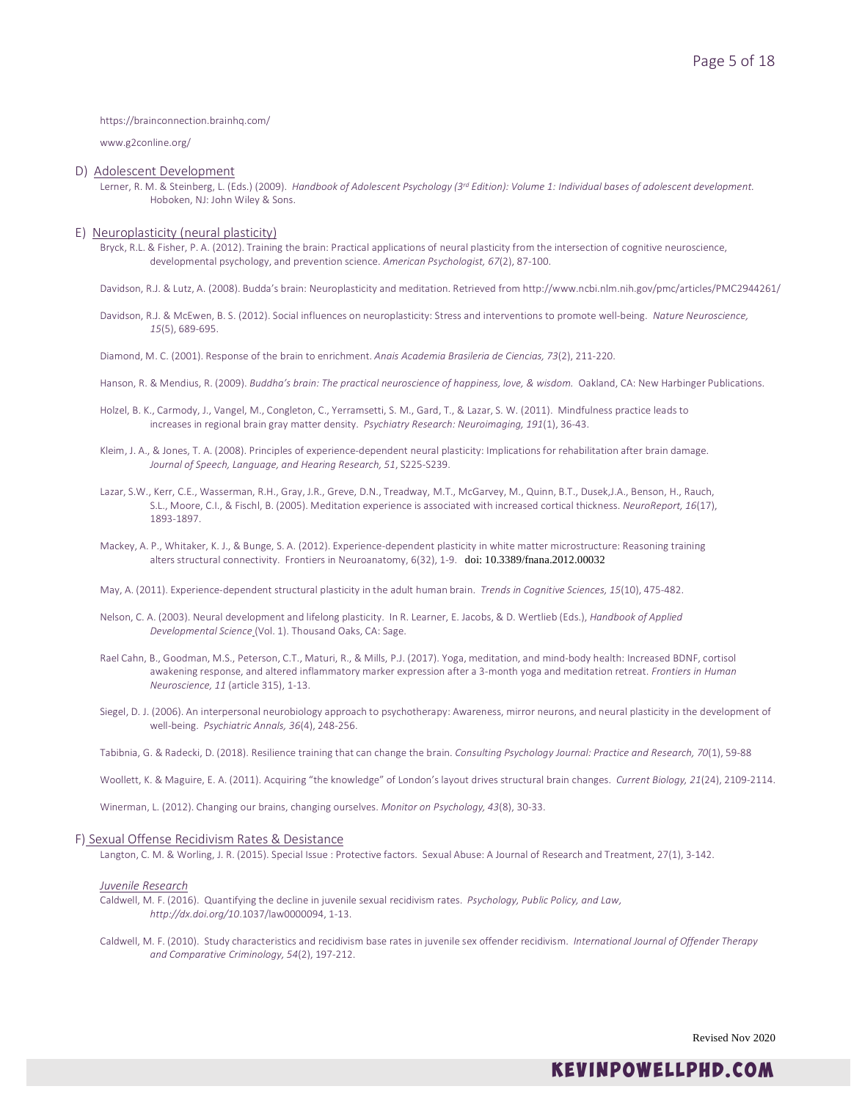### https://brainconnection.brainhq.com/

www.g2conline.org/

### D) Adolescent Development

Lerner, R. M. & Steinberg, L. (Eds.) (2009). *Handbook of Adolescent Psychology (3rd Edition): Volume 1: Individual bases of adolescent development.* Hoboken, NJ: John Wiley & Sons.

### E) Neuroplasticity (neural plasticity)

Bryck, R.L. & Fisher, P. A. (2012). Training the brain: Practical applications of neural plasticity from the intersection of cognitive neuroscience, developmental psychology, and prevention science. *American Psychologist, 67*(2), 87-100.

Davidson, R.J. & Lutz, A. (2008). Budda's brain: Neuroplasticity and meditation. Retrieved from http://www.ncbi.nlm.nih.gov/pmc/articles/PMC2944261/

Davidson, R.J. & McEwen, B. S. (2012). Social influences on neuroplasticity: Stress and interventions to promote well-being. *Nature Neuroscience, 15*(5), 689-695.

Diamond, M. C. (2001). Response of the brain to enrichment. *Anais Academia Brasileria de Ciencias, 73*(2), 211-220.

- Hanson, R. & Mendius, R. (2009). *Buddha's brain: The practical neuroscience of happiness, love, & wisdom.* Oakland, CA: New Harbinger Publications.
- Holzel, B. K., Carmody, J., Vangel, M., Congleton, C., Yerramsetti, S. M., Gard, T., & Lazar, S. W. (2011). Mindfulness practice leads to increases in regional brain gray matter density. *Psychiatry Research: Neuroimaging, 191*(1), 36-43.
- Kleim, J. A., & Jones, T. A. (2008). Principles of experience-dependent neural plasticity: Implications for rehabilitation after brain damage. *Journal of Speech, Language, and Hearing Research, 51*, S225-S239.
- Lazar, S.W., Kerr, C.E., Wasserman, R.H., Gray, J.R., Greve, D.N., Treadway, M.T., McGarvey, M., Quinn, B.T., Dusek,J.A., Benson, H., Rauch, S.L., Moore, C.I., & Fischl, B. (2005). Meditation experience is associated with increased cortical thickness. *NeuroReport, 16*(17), 1893-1897.
- Mackey, A. P., Whitaker, K. J., & Bunge, S. A. (2012). Experience-dependent plasticity in white matter microstructure: Reasoning training alters structural connectivity. Frontiers in Neuroanatomy, 6(32), 1-9. doi: 10.3389/fnana.2012.00032

May, A. (2011). Experience-dependent structural plasticity in the adult human brain. *Trends in Cognitive Sciences, 15*(10), 475-482.

- Nelson, C. A. (2003). Neural development and lifelong plasticity. In R. Learner, E. Jacobs, & D. Wertlieb (Eds.), *Handbook of Applied Developmental Science* (Vol. 1). Thousand Oaks, CA: Sage.
- Rael Cahn, B., Goodman, M.S., Peterson, C.T., Maturi, R., & Mills, P.J. (2017). Yoga, meditation, and mind-body health: Increased BDNF, cortisol awakening response, and altered inflammatory marker expression after a 3-month yoga and meditation retreat. *Frontiers in Human Neuroscience, 11* (article 315), 1-13.
- Siegel, D. J. (2006). An interpersonal neurobiology approach to psychotherapy: Awareness, mirror neurons, and neural plasticity in the development of well-being. *Psychiatric Annals, 36*(4), 248-256.
- Tabibnia, G. & Radecki, D. (2018). Resilience training that can change the brain. *Consulting Psychology Journal: Practice and Research, 70*(1), 59-88

Woollett, K. & Maguire, E. A. (2011). Acquiring "the knowledge" of London's layout drives structural brain changes. *Current Biology, 21*(24), 2109-2114.

Winerman, L. (2012). Changing our brains, changing ourselves. *Monitor on Psychology, 43*(8), 30-33.

### F) Sexual Offense Recidivism Rates & Desistance

Langton, C. M. & Worling, J. R. (2015). Special Issue : Protective factors. Sexual Abuse: A Journal of Research and Treatment, 27(1), 3-142.

### *Juvenile Research*

Caldwell, M. F. (2016). Quantifying the decline in juvenile sexual recidivism rates. *Psychology, Public Policy, and Law, http://dx.doi.org/10*.1037/law0000094, 1-13.

Caldwell, M. F. (2010). Study characteristics and recidivism base rates in juvenile sex offender recidivism. *International Journal of Offender Therapy and Comparative Criminology, 54*(2), 197-212.

Revised Nov 2020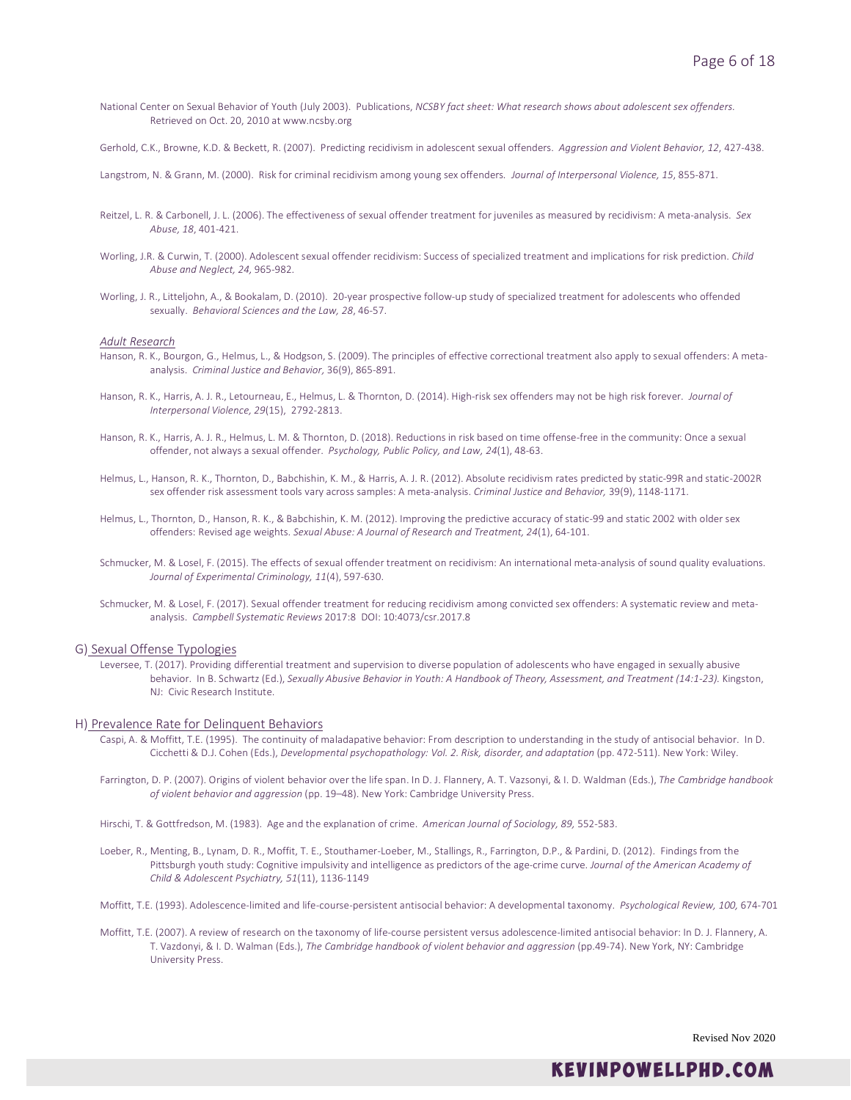National Center on Sexual Behavior of Youth (July 2003). Publications, *NCSBY fact sheet: What research shows about adolescent sex offenders.*  Retrieved on Oct. 20, 2010 at www.ncsby.org

Gerhold, C.K., Browne, K.D. & Beckett, R. (2007). Predicting recidivism in adolescent sexual offenders. *Aggression and Violent Behavior, 12*, 427-438.

Langstrom, N. & Grann, M. (2000). Risk for criminal recidivism among young sex offenders*. Journal of Interpersonal Violence, 15*, 855-871.

- Reitzel, L. R. & Carbonell, J. L. (2006). The effectiveness of sexual offender treatment for juveniles as measured by recidivism: A meta-analysis. *Sex Abuse, 18*, 401-421.
- Worling, J.R. & Curwin, T. (2000). Adolescent sexual offender recidivism: Success of specialized treatment and implications for risk prediction. *Child Abuse and Neglect, 24,* 965-982.
- Worling, J. R., Litteljohn, A., & Bookalam, D. (2010). 20-year prospective follow-up study of specialized treatment for adolescents who offended sexually. *Behavioral Sciences and the Law, 28*, 46-57.

### *Adult Research*

- Hanson, R. K., Bourgon, G., Helmus, L., & Hodgson, S. (2009). The principles of effective correctional treatment also apply to sexual offenders: A metaanalysis. *Criminal Justice and Behavior,* 36(9), 865-891.
- Hanson, R. K., Harris, A. J. R., Letourneau, E., Helmus, L. & Thornton, D. (2014). High-risk sex offenders may not be high risk forever. *Journal of Interpersonal Violence, 29*(15), 2792-2813.
- Hanson, R. K., Harris, A. J. R., Helmus, L. M. & Thornton, D. (2018). Reductions in risk based on time offense-free in the community: Once a sexual offender, not always a sexual offender. *Psychology, Public Policy, and Law, 24*(1), 48-63.
- Helmus, L., Hanson, R. K., Thornton, D., Babchishin, K. M., & Harris, A. J. R. (2012). Absolute recidivism rates predicted by static-99R and static-2002R sex offender risk assessment tools vary across samples: A meta-analysis. *Criminal Justice and Behavior,* 39(9), 1148-1171.
- Helmus, L., Thornton, D., Hanson, R. K., & Babchishin, K. M. (2012). Improving the predictive accuracy of static-99 and static 2002 with older sex offenders: Revised age weights. *Sexual Abuse: A Journal of Research and Treatment, 24*(1), 64-101.
- Schmucker, M. & Losel, F. (2015). The effects of sexual offender treatment on recidivism: An international meta-analysis of sound quality evaluations. *Journal of Experimental Criminology, 11*(4), 597-630.
- Schmucker, M. & Losel, F. (2017). Sexual offender treatment for reducing recidivism among convicted sex offenders: A systematic review and metaanalysis. *Campbell Systematic Reviews* 2017:8 DOI: 10:4073/csr.2017.8

### G) Sexual Offense Typologies

Leversee, T. (2017). Providing differential treatment and supervision to diverse population of adolescents who have engaged in sexually abusive behavior. In B. Schwartz (Ed.), *Sexually Abusive Behavior in Youth: A Handbook of Theory, Assessment, and Treatment (14:1-23).* Kingston, NJ: Civic Research Institute.

### H) Prevalence Rate for Delinquent Behaviors

- Caspi, A. & Moffitt, T.E. (1995). The continuity of maladapative behavior: From description to understanding in the study of antisocial behavior. In D. Cicchetti & D.J. Cohen (Eds.), *Developmental psychopathology: Vol. 2. Risk, disorder, and adaptation* (pp. 472-511). New York: Wiley.
- Farrington, D. P. (2007). Origins of violent behavior over the life span. In D. J. Flannery, A. T. Vazsonyi, & I. D. Waldman (Eds.), *The Cambridge handbook of violent behavior and aggression* (pp. 19–48). New York: Cambridge University Press.

Hirschi, T. & Gottfredson, M. (1983). Age and the explanation of crime. *American Journal of Sociology, 89,* 552-583.

Loeber, R., Menting, B., Lynam, D. R., Moffit, T. E., Stouthamer-Loeber, M., Stallings, R., Farrington, D.P., & Pardini, D. (2012). Findings from the Pittsburgh youth study: Cognitive impulsivity and intelligence as predictors of the age-crime curve. *Journal of the American Academy of Child & Adolescent Psychiatry, 51*(11), 1136-1149

Moffitt, T.E. (1993). Adolescence-limited and life-course-persistent antisocial behavior: A developmental taxonomy. *Psychological Review, 100,* 674-701

Moffitt, T.E. (2007). A review of research on the taxonomy of life-course persistent versus adolescence-limited antisocial behavior: In D. J. Flannery, A. T. Vazdonyi, & I. D. Walman (Eds.), *The Cambridge handbook of violent behavior and aggression* (pp.49-74). New York, NY: Cambridge University Press.

Revised Nov 2020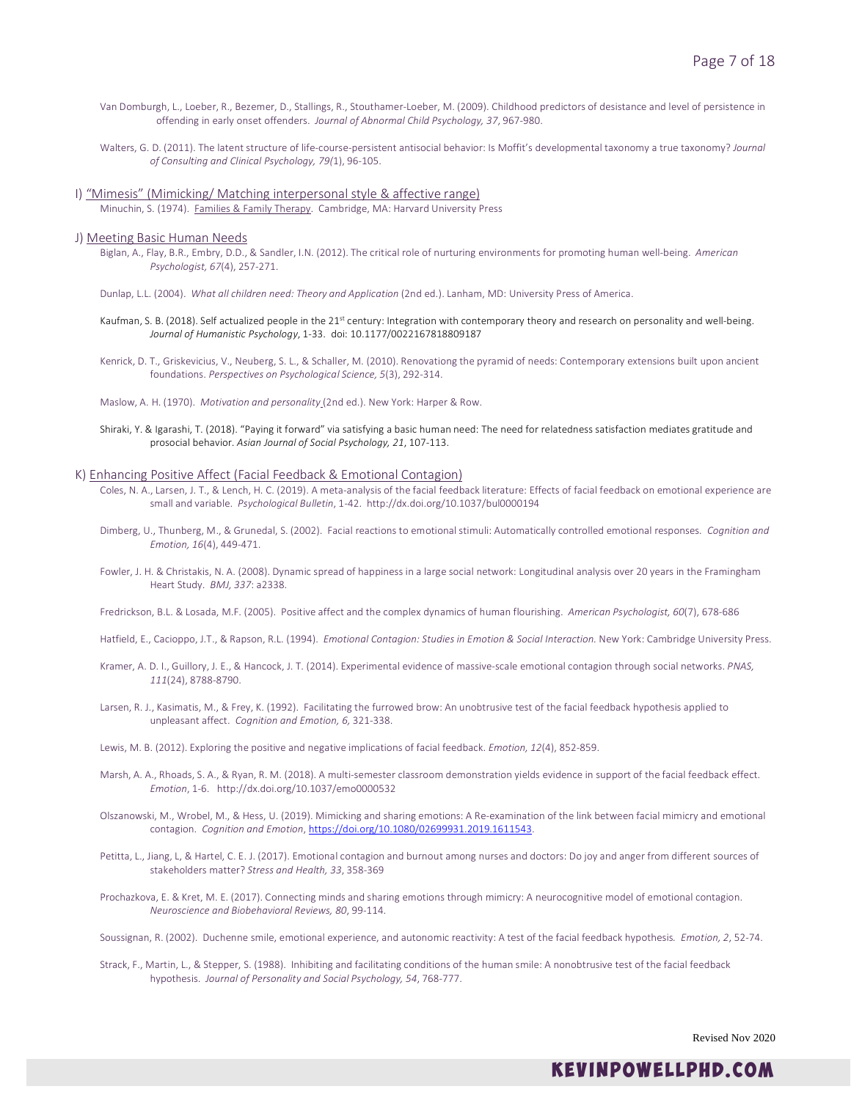- Van Domburgh, L., Loeber, R., Bezemer, D., Stallings, R., Stouthamer-Loeber, M. (2009). Childhood predictors of desistance and level of persistence in offending in early onset offenders. *Journal of Abnormal Child Psychology, 37*, 967-980.
- Walters, G. D. (2011). The latent structure of life-course-persistent antisocial behavior: Is Moffit's developmental taxonomy a true taxonomy? *Journal of Consulting and Clinical Psychology, 79(*1), 96-105.

### I) "Mimesis" (Mimicking/ Matching interpersonal style & affective range)

Minuchin, S. (1974). Families & Family Therapy. Cambridge, MA: Harvard University Press

### J) Meeting Basic Human Needs

Biglan, A., Flay, B.R., Embry, D.D., & Sandler, I.N. (2012). The critical role of nurturing environments for promoting human well-being. *American Psychologist, 67*(4), 257-271.

Dunlap, L.L. (2004). *What all children need: Theory and Application* (2nd ed.). Lanham, MD: University Press of America.

- Kaufman, S. B. (2018). Self actualized people in the 21<sup>st</sup> century: Integration with contemporary theory and research on personality and well-being. *Journal of Humanistic Psychology*, 1-33. doi: 10.1177/0022167818809187
- Kenrick, D. T., Griskevicius, V., Neuberg, S. L., & Schaller, M. (2010). Renovationg the pyramid of needs: Contemporary extensions built upon ancient foundations. *Perspectives on Psychological Science, 5*(3), 292-314.

Maslow, A. H. (1970). *Motivation and personality* (2nd ed.). New York: Harper & Row.

Shiraki, Y. & Igarashi, T. (2018). "Paying it forward" via satisfying a basic human need: The need for relatedness satisfaction mediates gratitude and prosocial behavior. *Asian Journal of Social Psychology, 21*, 107-113.

### K) Enhancing Positive Affect (Facial Feedback & Emotional Contagion)

- Coles, N. A., Larsen, J. T., & Lench, H. C. (2019). A meta-analysis of the facial feedback literature: Effects of facial feedback on emotional experience are small and variable. *Psychological Bulletin*, 1-42. http://dx.doi.org/10.1037/bul0000194
- Dimberg, U., Thunberg, M., & Grunedal, S. (2002). Facial reactions to emotional stimuli: Automatically controlled emotional responses*. Cognition and Emotion, 16*(4), 449-471.
- Fowler, J. H. & Christakis, N. A. (2008). Dynamic spread of happiness in a large social network: Longitudinal analysis over 20 years in the Framingham Heart Study. *BMJ, 337*: a2338.
- Fredrickson, B.L. & Losada, M.F. (2005). Positive affect and the complex dynamics of human flourishing. *American Psychologist, 60*(7), 678-686

Hatfield, E., Cacioppo, J.T., & Rapson, R.L. (1994). *Emotional Contagion: Studies in Emotion & Social Interaction.* New York: Cambridge University Press.

- Kramer, A. D. I., Guillory, J. E., & Hancock, J. T. (2014). Experimental evidence of massive-scale emotional contagion through social networks. *PNAS, 111*(24), 8788-8790.
- Larsen, R. J., Kasimatis, M., & Frey, K. (1992). Facilitating the furrowed brow: An unobtrusive test of the facial feedback hypothesis applied to unpleasant affect. *Cognition and Emotion, 6,* 321-338.
- Lewis, M. B. (2012). Exploring the positive and negative implications of facial feedback. *Emotion, 12*(4), 852-859.
- Marsh, A. A., Rhoads, S. A., & Ryan, R. M. (2018). A multi-semester classroom demonstration yields evidence in support of the facial feedback effect. *Emotion*, 1-6. http://dx.doi.org/10.1037/emo0000532
- Olszanowski, M., Wrobel, M., & Hess, U. (2019). Mimicking and sharing emotions: A Re-examination of the link between facial mimicry and emotional contagion. *Cognition and Emotion*, [https://doi.org/10.1080/02699931.2019.1611543.](https://doi.org/10.1080/02699931.2019.1611543)
- Petitta, L., Jiang, L, & Hartel, C. E. J. (2017). Emotional contagion and burnout among nurses and doctors: Do joy and anger from different sources of stakeholders matter? *Stress and Health, 33*, 358-369
- Prochazkova, E. & Kret, M. E. (2017). Connecting minds and sharing emotions through mimicry: A neurocognitive model of emotional contagion. *Neuroscience and Biobehavioral Reviews, 80*, 99-114.
- Soussignan, R. (2002). Duchenne smile, emotional experience, and autonomic reactivity: A test of the facial feedback hypothesis*. Emotion, 2*, 52-74.
- Strack, F., Martin, L., & Stepper, S. (1988). Inhibiting and facilitating conditions of the human smile: A nonobtrusive test of the facial feedback hypothesis. *Journal of Personality and Social Psychology, 54*, 768-777.

Revised Nov 2020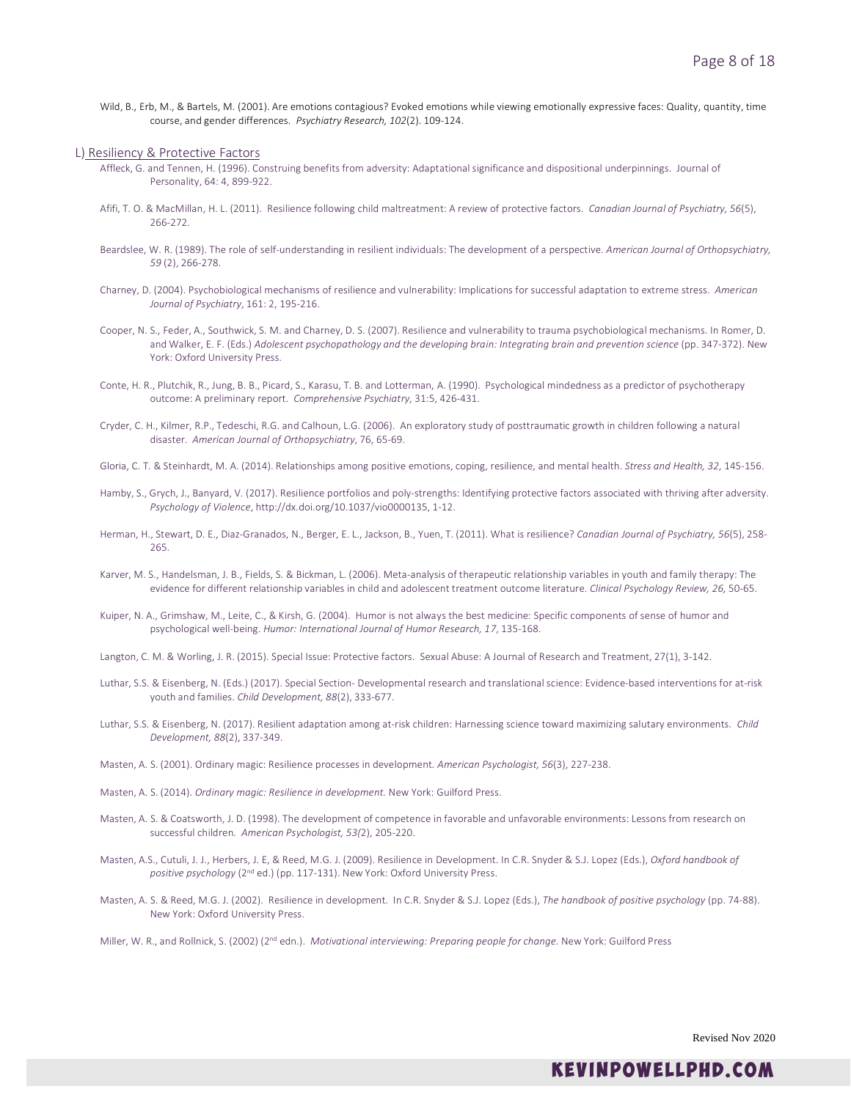Wild, B., Erb, M., & Bartels, M. (2001). Are emotions contagious? Evoked emotions while viewing emotionally expressive faces: Quality, quantity, time course, and gender differences. *Psychiatry Research, 102*(2). 109-124.

### L) Resiliency & Protective Factors

- Affleck, G. and Tennen, H. (1996). Construing benefits from adversity: Adaptational significance and dispositional underpinnings. Journal of Personality, 64: 4, 899-922.
- Afifi, T. O. & MacMillan, H. L. (2011). Resilience following child maltreatment: A review of protective factors. *Canadian Journal of Psychiatry, 56*(5), 266-272.
- Beardslee, W. R. (1989). The role of self-understanding in resilient individuals: The development of a perspective. *American Journal of Orthopsychiatry, 59* (2), 266-278.
- Charney, D. (2004). Psychobiological mechanisms of resilience and vulnerability: Implications for successful adaptation to extreme stress. *American Journal of Psychiatry*, 161: 2, 195-216.
- Cooper, N. S., Feder, A., Southwick, S. M. and Charney, D. S. (2007). Resilience and vulnerability to trauma psychobiological mechanisms. In Romer, D. and Walker, E. F. (Eds.) *Adolescent psychopathology and the developing brain: Integrating brain and prevention science* (pp. 347-372). New York: Oxford University Press.
- Conte, H. R., Plutchik, R., Jung, B. B., Picard, S., Karasu, T. B. and Lotterman, A. (1990). Psychological mindedness as a predictor of psychotherapy outcome: A preliminary report. *Comprehensive Psychiatry*, 31:5, 426-431.
- Cryder, C. H., Kilmer, R.P., Tedeschi, R.G. and Calhoun, L.G. (2006). An exploratory study of posttraumatic growth in children following a natural disaster. *American Journal of Orthopsychiatry*, 76, 65-69.
- Gloria, C. T. & Steinhardt, M. A. (2014). Relationships among positive emotions, coping, resilience, and mental health. *Stress and Health, 32*, 145-156.
- Hamby, S., Grych, J., Banyard, V. (2017). Resilience portfolios and poly-strengths: Identifying protective factors associated with thriving after adversity. *Psychology of Violence*, http://dx.doi.org/10.1037/vio0000135, 1-12.
- Herman, H., Stewart, D. E., Diaz-Granados, N., Berger, E. L., Jackson, B., Yuen, T. (2011). What is resilience? *Canadian Journal of Psychiatry, 56*(5), 258- 265.
- Karver, M. S., Handelsman, J. B., Fields, S. & Bickman, L. (2006). Meta-analysis of therapeutic relationship variables in youth and family therapy: The evidence for different relationship variables in child and adolescent treatment outcome literature. *Clinical Psychology Review, 26,* 50-65.
- Kuiper, N. A., Grimshaw, M., Leite, C., & Kirsh, G. (2004). Humor is not always the best medicine: Specific components of sense of humor and psychological well-being. *Humor: International Journal of Humor Research, 17*, 135-168.
- Langton, C. M. & Worling, J. R. (2015). Special Issue: Protective factors. Sexual Abuse: A Journal of Research and Treatment, 27(1), 3-142.
- Luthar, S.S. & Eisenberg, N. (Eds.) (2017). Special Section- Developmental research and translational science: Evidence-based interventions for at-risk youth and families. *Child Development, 88*(2), 333-677.
- Luthar, S.S. & Eisenberg, N. (2017). Resilient adaptation among at-risk children: Harnessing science toward maximizing salutary environments. *Child Development, 88*(2), 337-349.
- Masten, A. S. (2001). Ordinary magic: Resilience processes in development*. American Psychologist, 56*(3), 227-238.
- Masten, A. S. (2014). *Ordinary magic: Resilience in development.* New York: Guilford Press.
- Masten, A. S. & Coatsworth, J. D. (1998). The development of competence in favorable and unfavorable environments: Lessons from research on successful children*. American Psychologist, 53(*2), 205-220.
- Masten, A.S., Cutuli, J. J., Herbers, J. E, & Reed, M.G. J. (2009). Resilience in Development. In C.R. Snyder & S.J. Lopez (Eds.), *Oxford handbook of positive psychology* (2nd ed.) (pp. 117-131). New York: Oxford University Press.
- Masten, A. S. & Reed, M.G. J. (2002). Resilience in development. In C.R. Snyder & S.J. Lopez (Eds.), *The handbook of positive psychology* (pp. 74-88). New York: Oxford University Press.

Miller, W. R., and Rollnick, S. (2002) (2nd edn.). *Motivational interviewing: Preparing people for change.* New York: Guilford Press

Revised Nov 2020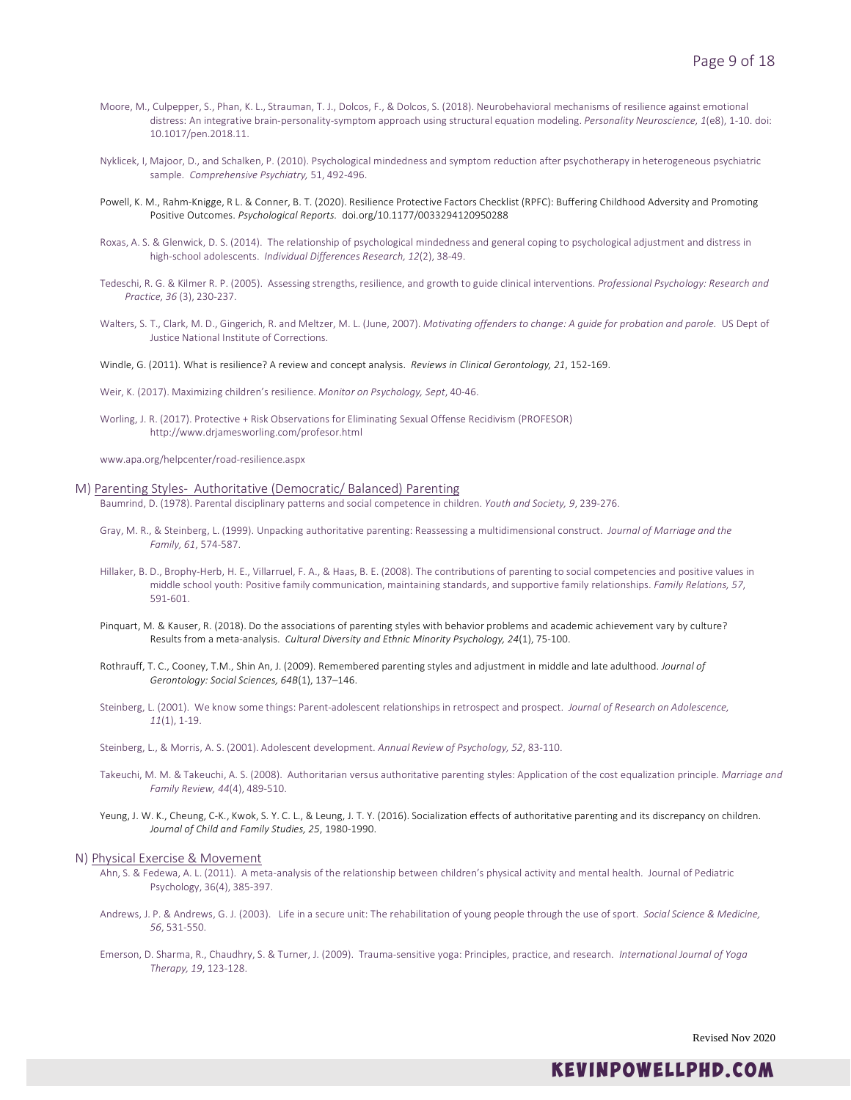- Moore, M., Culpepper, S., Phan, K. L., Strauman, T. J., Dolcos, F., & Dolcos, S. (2018). Neurobehavioral mechanisms of resilience against emotional distress: An integrative brain-personality-symptom approach using structural equation modeling. *Personality Neuroscience, 1*(e8), 1-10. doi: 10.1017/pen.2018.11.
- Nyklicek, I, Majoor, D., and Schalken, P. (2010). Psychological mindedness and symptom reduction after psychotherapy in heterogeneous psychiatric sample. *Comprehensive Psychiatry,* 51, 492-496.
- Powell, K. M., Rahm-Knigge, R L. & Conner, B. T. (2020). Resilience Protective Factors Checklist (RPFC): Buffering Childhood Adversity and Promoting Positive Outcomes. *Psychological Reports.* [doi.org/10.1177/0033294120950288](https://doi.org/10.1177%2F0033294120950288)
- Roxas, A. S. & Glenwick, D. S. (2014). The relationship of psychological mindedness and general coping to psychological adjustment and distress in high-school adolescents. *Individual Differences Research, 12*(2), 38-49.
- Tedeschi, R. G. & Kilmer R. P. (2005). Assessing strengths, resilience, and growth to guide clinical interventions. *Professional Psychology: Research and Practice, 36* (3), 230-237.
- Walters, S. T., Clark, M. D., Gingerich, R. and Meltzer, M. L. (June, 2007). *Motivating offenders to change: A guide for probation and parole.* US Dept of Justice National Institute of Corrections.

Windle, G. (2011). What is resilience? A review and concept analysis. *Reviews in Clinical Gerontology, 21*, 152-169.

Weir, K. (2017). Maximizing children's resilience. *Monitor on Psychology, Sept*, 40-46.

Worling, J. R. (2017). Protective + Risk Observations for Eliminating Sexual Offense Recidivism (PROFESOR) http://www.drjamesworling.com/profesor.html

www.apa.org/helpcenter/road-resilience.aspx

### M) Parenting Styles- Authoritative (Democratic/ Balanced) Parenting

Baumrind, D. (1978). Parental disciplinary patterns and social competence in children. *Youth and Society, 9*, 239-276.

- Gray, M. R., & Steinberg, L. (1999). Unpacking authoritative parenting: Reassessing a multidimensional construct. *Journal of Marriage and the Family, 61*, 574-587.
- Hillaker, B. D., Brophy-Herb, H. E., Villarruel, F. A., & Haas, B. E. (2008). The contributions of parenting to social competencies and positive values in middle school youth: Positive family communication, maintaining standards, and supportive family relationships. *Family Relations, 57*, 591-601.
- Pinquart, M. & Kauser, R. (2018). Do the associations of parenting styles with behavior problems and academic achievement vary by culture? Results from a meta-analysis. *Cultural Diversity and Ethnic Minority Psychology, 24*(1), 75-100.
- Rothrauff, T. C., Cooney, T.M., Shin An, J. (2009). Remembered parenting styles and adjustment in middle and late adulthood. *Journal of Gerontology: Social Sciences, 64B*(1), 137–146.
- Steinberg, L. (2001). We know some things: Parent-adolescent relationships in retrospect and prospect. *Journal of Research on Adolescence, 11*(1), 1-19.

Steinberg, L., & Morris, A. S. (2001). Adolescent development. *Annual Review of Psychology, 52*, 83-110.

- Takeuchi, M. M. & Takeuchi, A. S. (2008). Authoritarian versus authoritative parenting styles: Application of the cost equalization principle. *Marriage and Family Review, 44*(4), 489-510.
- Yeung, J. W. K., Cheung, C-K., Kwok, S. Y. C. L., & Leung, J. T. Y. (2016). Socialization effects of authoritative parenting and its discrepancy on children. *Journal of Child and Family Studies, 25*, 1980-1990.

### N) Physical Exercise & Movement

- Ahn, S. & Fedewa, A. L. (2011). A meta-analysis of the relationship between children's physical activity and mental health. Journal of Pediatric Psychology, 36(4), 385-397.
- Andrews, J. P. & Andrews, G. J. (2003). Life in a secure unit: The rehabilitation of young people through the use of sport. *Social Science & Medicine, 56*, 531-550.
- Emerson, D. Sharma, R., Chaudhry, S. & Turner, J. (2009). Trauma-sensitive yoga: Principles, practice, and research. *International Journal of Yoga Therapy, 19*, 123-128.

Revised Nov 2020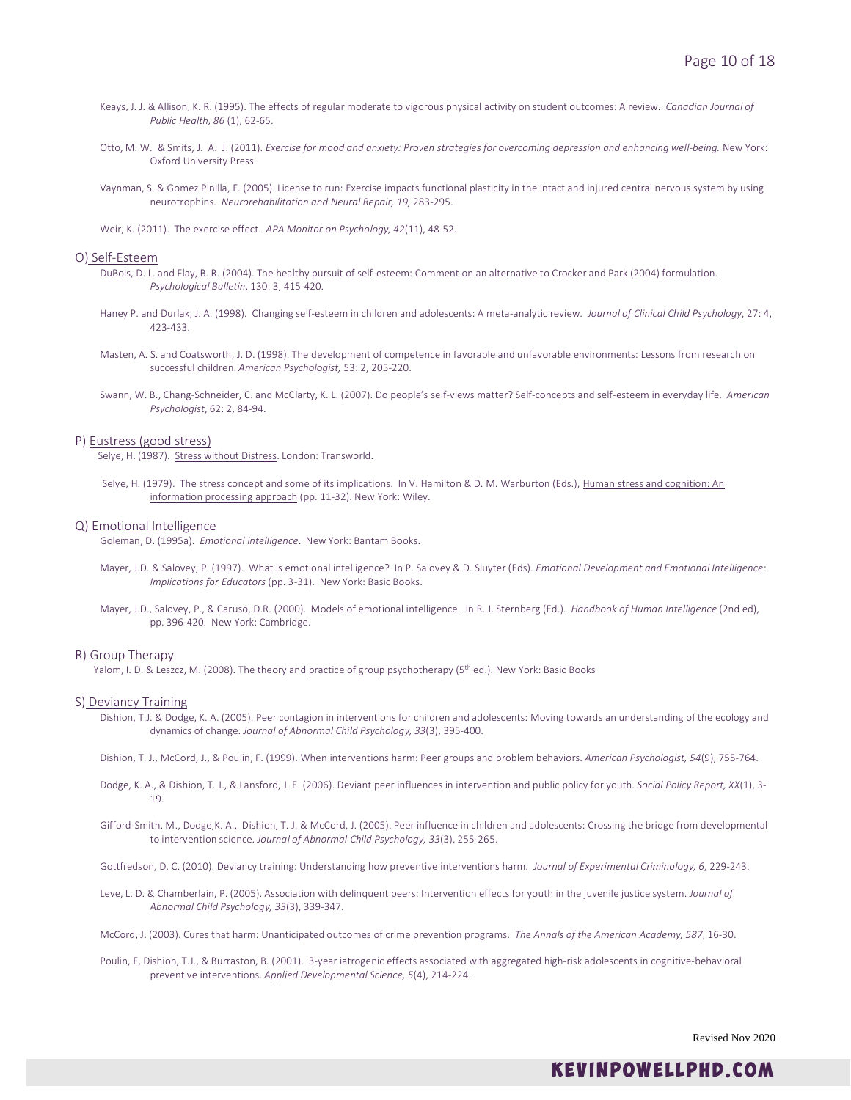- Keays, J. J. & Allison, K. R. (1995). The effects of regular moderate to vigorous physical activity on student outcomes: A review. *Canadian Journal of Public Health, 86* (1), 62-65.
- Otto, M. W. & Smits, J. A. J. (2011). *Exercise for mood and anxiety: Proven strategies for overcoming depression and enhancing well-being.* New York: Oxford University Press
- Vaynman, S. & Gomez Pinilla, F. (2005). License to run: Exercise impacts functional plasticity in the intact and injured central nervous system by using neurotrophins. *Neurorehabilitation and Neural Repair, 19,* 283-295.
- Weir, K. (2011). The exercise effect. *APA Monitor on Psychology, 42*(11), 48-52.

### O) Self-Esteem

- DuBois, D. L. and Flay, B. R. (2004). The healthy pursuit of self-esteem: Comment on an alternative to Crocker and Park (2004) formulation. *Psychological Bulletin*, 130: 3, 415-420.
- Haney P. and Durlak, J. A. (1998). Changing self-esteem in children and adolescents: A meta-analytic review. *Journal of Clinical Child Psychology*, 27: 4, 423-433.
- Masten, A. S. and Coatsworth, J. D. (1998). The development of competence in favorable and unfavorable environments: Lessons from research on successful children. *American Psychologist,* 53: 2, 205-220.
- Swann, W. B., Chang-Schneider, C. and McClarty, K. L. (2007). Do people's self-views matter? Self-concepts and self-esteem in everyday life. *American Psychologist*, 62: 2, 84-94.

P) Eustress (good stress)<br>Selye, H. (1987). Stress without Distress. London: Transworld.

Selye, H. (1979). The stress concept and some of its implications. In V. Hamilton & D. M. Warburton (Eds.), Human stress and cognition: An information processing approach (pp. 11-32). New York: Wiley.

### Q) Emotional Intelligence

Goleman, D. (1995a). *Emotional intelligence*. New York: Bantam Books.

- Mayer, J.D. & Salovey, P. (1997). What is emotional intelligence? In P. Salovey & D. Sluyter (Eds). *Emotional Development and Emotional Intelligence: Implications for Educators* (pp. 3-31). New York: Basic Books.
- Mayer, J.D., Salovey, P., & Caruso, D.R. (2000). Models of emotional intelligence. In R. J. Sternberg (Ed.). *Handbook of Human Intelligence* (2nd ed), pp. 396-420. New York: Cambridge.

### R) Group Therapy

Yalom, I. D. & Leszcz, M. (2008). The theory and practice of group psychotherapy (5<sup>th</sup> ed.). New York: Basic Books

### S) Deviancy Training

- Dishion, T.J. & Dodge, K. A. (2005). Peer contagion in interventions for children and adolescents: Moving towards an understanding of the ecology and dynamics of change. *Journal of Abnormal Child Psychology, 33*(3), 395-400.
- Dishion, T. J., McCord, J., & Poulin, F. (1999). When interventions harm: Peer groups and problem behaviors. *American Psychologist, 54*(9), 755-764.
- Dodge, K. A., & Dishion, T. J., & Lansford, J. E. (2006). Deviant peer influences in intervention and public policy for youth. *Social Policy Report, XX*(1), 3- 19.
- Gifford-Smith, M., Dodge,K. A., Dishion, T. J. & McCord, J. (2005). Peer influence in children and adolescents: Crossing the bridge from developmental to intervention science. *Journal of Abnormal Child Psychology, 33*(3), 255-265.

Gottfredson, D. C. (2010). Deviancy training: Understanding how preventive interventions harm. *Journal of Experimental Criminology, 6*, 229-243.

- Leve, L. D. & Chamberlain, P. (2005). Association with delinquent peers: Intervention effects for youth in the juvenile justice system. *Journal of Abnormal Child Psychology, 33*(3), 339-347.
- McCord, J. (2003). Cures that harm: Unanticipated outcomes of crime prevention programs. *The Annals of the American Academy, 587*, 16-30.
- Poulin, F, Dishion, T.J., & Burraston, B. (2001). 3-year iatrogenic effects associated with aggregated high-risk adolescents in cognitive-behavioral preventive interventions. *Applied Developmental Science, 5*(4), 214-224.

Revised Nov 2020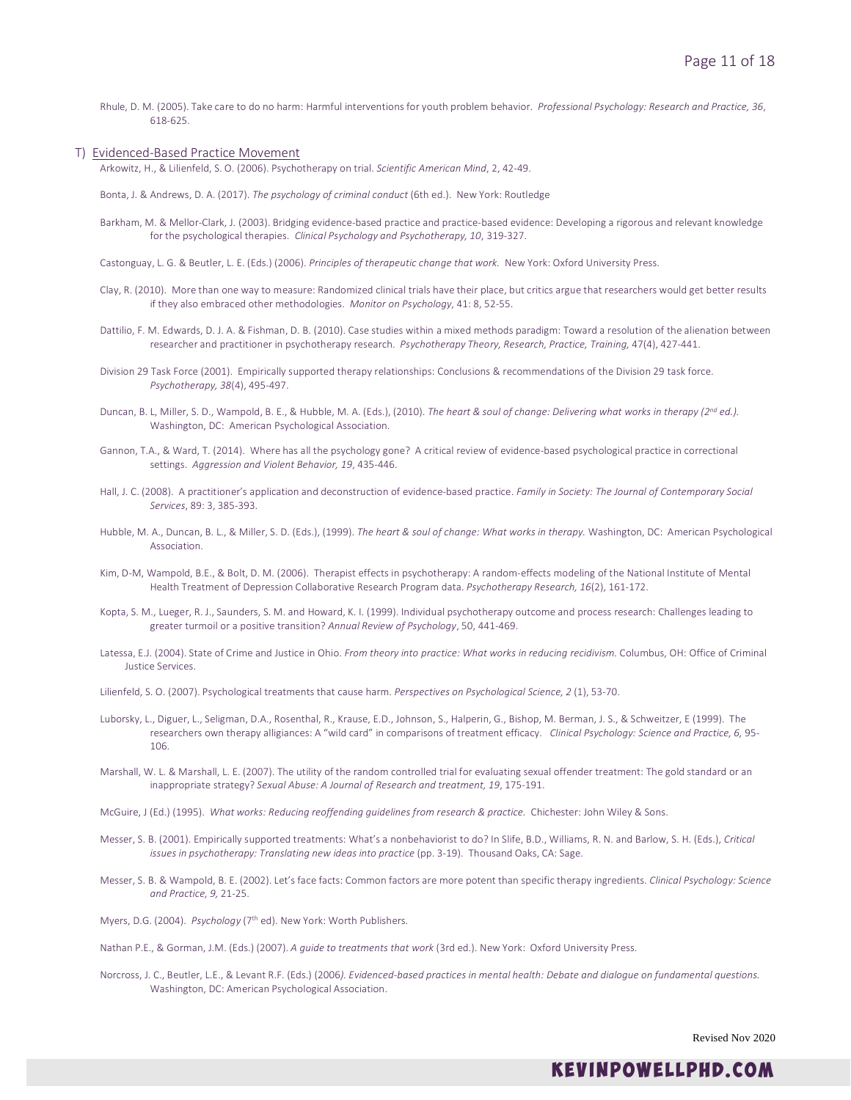Rhule, D. M. (2005). Take care to do no harm: Harmful interventions for youth problem behavior. *Professional Psychology: Research and Practice, 36*, 618-625.

### T) Evidenced-Based Practice Movement

Arkowitz, H., & Lilienfeld, S. O. (2006). Psychotherapy on trial. *Scientific American Mind*, 2, 42-49.

Bonta, J. & Andrews, D. A. (2017). *The psychology of criminal conduct* (6th ed.). New York: Routledge

- Barkham, M. & Mellor-Clark, J. (2003). Bridging evidence-based practice and practice-based evidence: Developing a rigorous and relevant knowledge for the psychological therapies. *Clinical Psychology and Psychotherapy, 10*, 319-327.
- Castonguay, L. G. & Beutler, L. E. (Eds.) (2006). *Principles of therapeutic change that work.* New York: Oxford University Press.
- Clay, R. (2010). More than one way to measure: Randomized clinical trials have their place, but critics argue that researchers would get better results if they also embraced other methodologies. *Monitor on Psychology*, 41: 8, 52-55.
- Dattilio, F. M. Edwards, D. J. A. & Fishman, D. B. (2010). Case studies within a mixed methods paradigm: Toward a resolution of the alienation between researcher and practitioner in psychotherapy research. *Psychotherapy Theory, Research, Practice, Training,* 47(4), 427-441.
- Division 29 Task Force (2001). Empirically supported therapy relationships: Conclusions & recommendations of the Division 29 task force. *Psychotherapy, 38*(4), 495-497.
- Duncan, B. L, Miller, S. D., Wampold, B. E., & Hubble, M. A. (Eds.), (2010). *The heart & soul of change: Delivering what works in therapy (2nd ed.).* Washington, DC: American Psychological Association.
- Gannon, T.A., & Ward, T. (2014). Where has all the psychology gone? A critical review of evidence-based psychological practice in correctional settings. *Aggression and Violent Behavior, 19*, 435-446.
- Hall, J. C. (2008). A practitioner's application and deconstruction of evidence-based practice. *Family in Society: The Journal of Contemporary Social Services*, 89: 3, 385-393.
- Hubble, M. A., Duncan, B. L., & Miller, S. D. (Eds.), (1999). *The heart & soul of change: What works in therapy.* Washington, DC: American Psychological Association.
- Kim, D-M, Wampold, B.E., & Bolt, D. M. (2006). Therapist effects in psychotherapy: A random-effects modeling of the National Institute of Mental Health Treatment of Depression Collaborative Research Program data. *Psychotherapy Research, 16*(2), 161-172.
- Kopta, S. M., Lueger, R. J., Saunders, S. M. and Howard, K. I. (1999). Individual psychotherapy outcome and process research: Challenges leading to greater turmoil or a positive transition? *Annual Review of Psychology*, 50, 441-469.
- Latessa, E.J. (2004). State of Crime and Justice in Ohio. *From theory into practice: What works in reducing recidivism.* Columbus, OH: Office of Criminal Justice Services.
- Lilienfeld, S. O. (2007). Psychological treatments that cause harm. *Perspectives on Psychological Science, 2* (1), 53-70.
- Luborsky, L., Diguer, L., Seligman, D.A., Rosenthal, R., Krause, E.D., Johnson, S., Halperin, G., Bishop, M. Berman, J. S., & Schweitzer, E (1999). The researchers own therapy alligiances: A "wild card" in comparisons of treatment efficacy. *Clinical Psychology: Science and Practice, 6,* 95- 106.
- Marshall, W. L. & Marshall, L. E. (2007). The utility of the random controlled trial for evaluating sexual offender treatment: The gold standard or an inappropriate strategy? *Sexual Abuse: A Journal of Research and treatment, 19*, 175-191.
- McGuire, J (Ed.) (1995). *What works: Reducing reoffending guidelines from research & practice.* Chichester: John Wiley & Sons.
- Messer, S. B. (2001). Empirically supported treatments: What's a nonbehaviorist to do? In Slife, B.D., Williams, R. N. and Barlow, S. H. (Eds.), *Critical issues in psychotherapy: Translating new ideas into practice* (pp. 3-19). Thousand Oaks, CA: Sage.
- Messer, S. B. & Wampold, B. E. (2002). Let's face facts: Common factors are more potent than specific therapy ingredients. *Clinical Psychology: Science and Practice, 9,* 21-25.
- Myers, D.G. (2004). *Psychology* (7<sup>th</sup> ed). New York: Worth Publishers.
- Nathan P.E., & Gorman, J.M. (Eds.) (2007). *A guide to treatments that work* (3rd ed.). New York: Oxford University Press.
- Norcross, J. C., Beutler, L.E., & Levant R.F. (Eds.) (2006*). Evidenced-based practices in mental health: Debate and dialogue on fundamental questions.*  Washington, DC: American Psychological Association.

Revised Nov 2020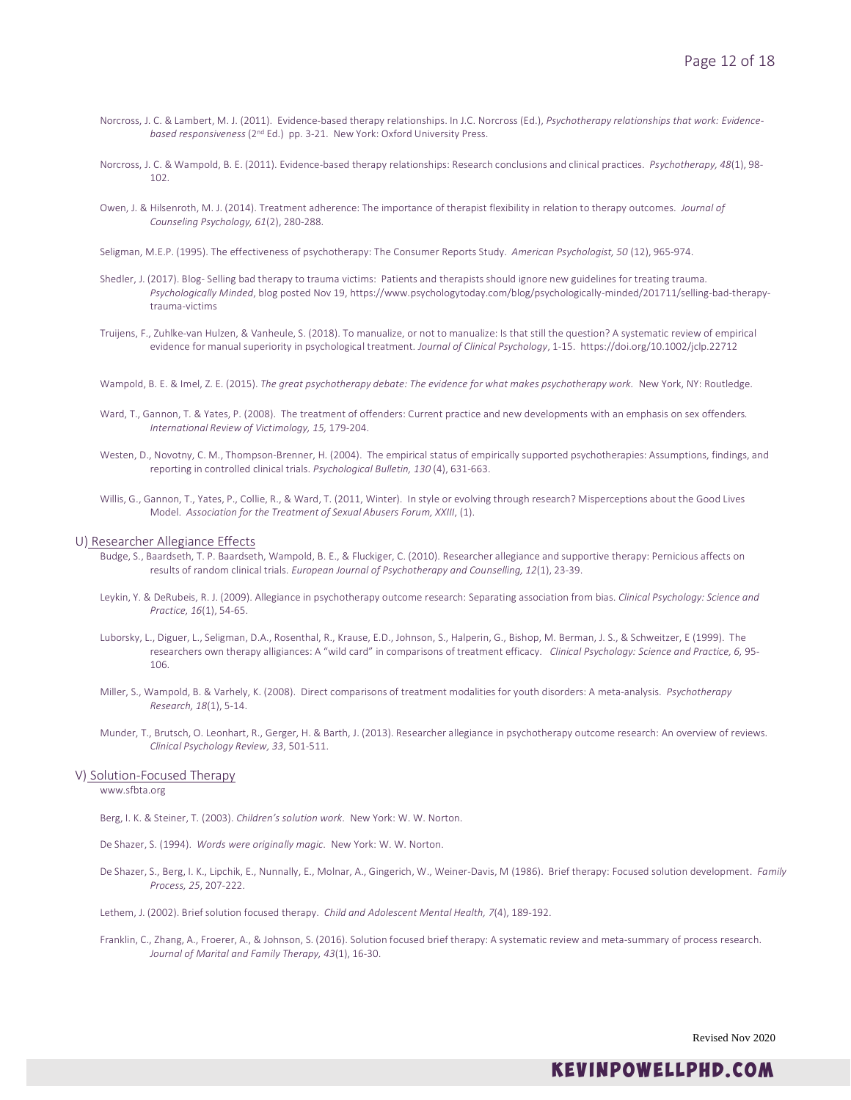- Norcross, J. C. & Lambert, M. J. (2011). Evidence-based therapy relationships. In J.C. Norcross (Ed.), *Psychotherapy relationships that work: Evidencebased responsiveness* (2nd Ed.) pp. 3-21. New York: Oxford University Press.
- Norcross, J. C. & Wampold, B. E. (2011). Evidence-based therapy relationships: Research conclusions and clinical practices. *Psychotherapy, 48*(1), 98- 102.
- Owen, J. & Hilsenroth, M. J. (2014). Treatment adherence: The importance of therapist flexibility in relation to therapy outcomes. *Journal of Counseling Psychology, 61*(2), 280-288.
- Seligman, M.E.P. (1995). [The effectiveness of psychotherapy: The Consumer Reports Study.](http://www.ppc.sas.upenn.edu/cvabs.htm) *[American Psychologist,](http://www.apa.org/journals/) 50* (12), 965-974.
- Shedler, J. (2017). Blog- Selling bad therapy to trauma victims: Patients and therapists should ignore new guidelines for treating trauma. *Psychologically Minded*, blog posted Nov 19, https://www.psychologytoday.com/blog/psychologically-minded/201711/selling-bad-therapytrauma-victims
- Truijens, F., Zuhlke-van Hulzen, & Vanheule, S. (2018). To manualize, or not to manualize: Is that still the question? A systematic review of empirical evidence for manual superiority in psychological treatment. *Journal of Clinical Psychology*, 1-15. https://doi.org/10.1002/jclp.22712
- Wampold, B. E. & Imel, Z. E. (2015). *The great psychotherapy debate: The evidence for what makes psychotherapy work.* New York, NY: Routledge.
- Ward, T., Gannon, T. & Yates, P. (2008). The treatment of offenders: Current practice and new developments with an emphasis on sex offenders*. International Review of Victimology, 15,* 179-204.
- Westen, D., Novotny, C. M., Thompson-Brenner, H. (2004). The empirical status of empirically supported psychotherapies: Assumptions, findings, and reporting in controlled clinical trials. *Psychological Bulletin, 130* (4), 631-663.
- Willis, G., Gannon, T., Yates, P., Collie, R., & Ward, T. (2011, Winter). In style or evolving through research? Misperceptions about the Good Lives Model. *Association for the Treatment of Sexual Abusers Forum, XXIII*, (1).

### U) Researcher Allegiance Effects

- Budge, S., Baardseth, T. P. Baardseth, Wampold, B. E., & Fluckiger, C. (2010). Researcher allegiance and supportive therapy: Pernicious affects on results of random clinical trials. *European Journal of Psychotherapy and Counselling, 12*(1), 23-39.
- Leykin, Y. & DeRubeis, R. J. (2009). Allegiance in psychotherapy outcome research: Separating association from bias. *Clinical Psychology: Science and Practice, 16*(1), 54-65.
- Luborsky, L., Diguer, L., Seligman, D.A., Rosenthal, R., Krause, E.D., Johnson, S., Halperin, G., Bishop, M. Berman, J. S., & Schweitzer, E (1999). The researchers own therapy alligiances: A "wild card" in comparisons of treatment efficacy. *Clinical Psychology: Science and Practice, 6,* 95- 106.
- Miller, S., Wampold, B. & Varhely, K. (2008). Direct comparisons of treatment modalities for youth disorders: A meta-analysis. *Psychotherapy Research, 18*(1), 5-14.
- Munder, T., Brutsch, O. Leonhart, R., Gerger, H. & Barth, J. (2013). Researcher allegiance in psychotherapy outcome research: An overview of reviews. *Clinical Psychology Review, 33*, 501-511.

### V) Solution-Focused Therapy

www.sfbta.org

- Berg, I. K. & Steiner, T. (2003). *Children's solution work*. New York: W. W. Norton.
- De Shazer, S. (1994). *Words were originally magic*. New York: W. W. Norton.
- De Shazer, S., Berg, I. K., Lipchik, E., Nunnally, E., Molnar, A., Gingerich, W., Weiner-Davis, M (1986). Brief therapy: Focused solution development. *Family Process, 25*, 207-222.
- Lethem, J. (2002). Brief solution focused therapy. *Child and Adolescent Mental Health, 7*(4), 189-192.
- Franklin, C., Zhang, A., Froerer, A., & Johnson, S. (2016). Solution focused brief therapy: A systematic review and meta-summary of process research. *Journal of Marital and Family Therapy, 43*(1), 16-30.

Revised Nov 2020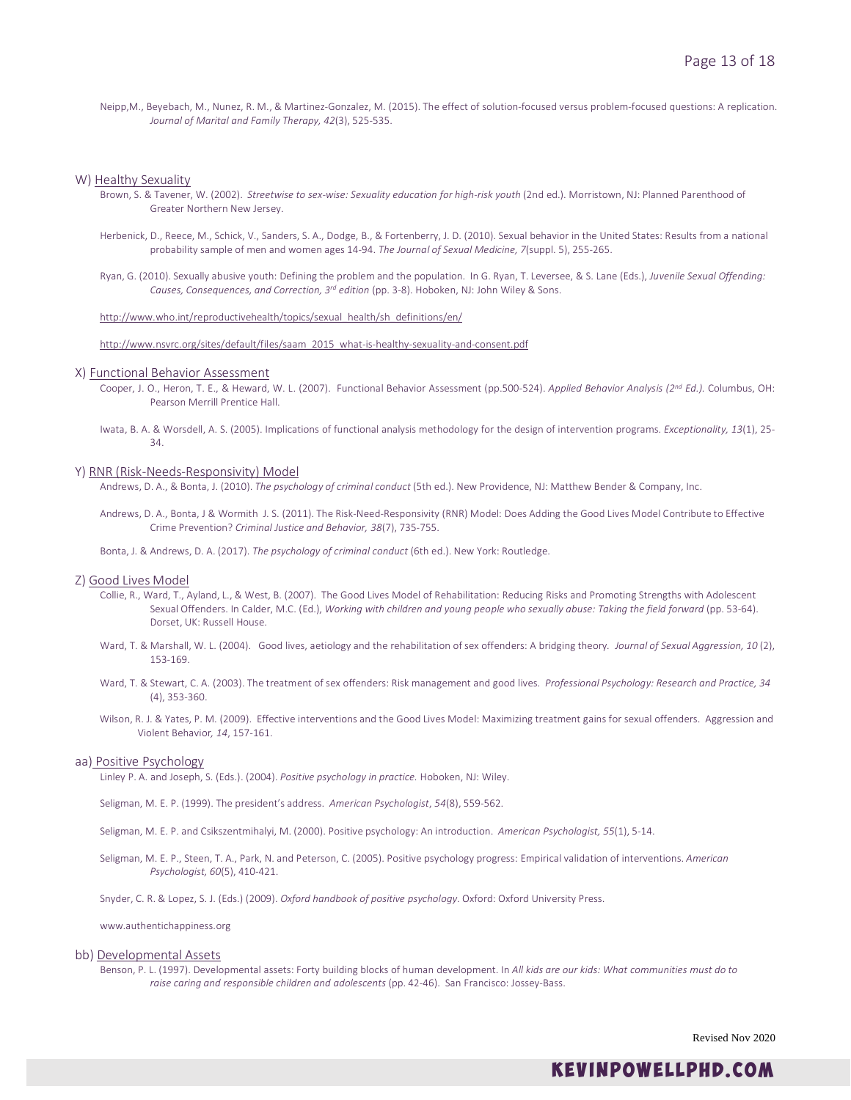Neipp,M., Beyebach, M., Nunez, R. M., & Martinez-Gonzalez, M. (2015). The effect of solution-focused versus problem-focused questions: A replication. *Journal of Marital and Family Therapy, 42*(3), 525-535.

#### W) Healthy Sexuality

- Brown, S. & Tavener, W. (2002). *Streetwise to sex-wise: Sexuality education for high-risk youth* (2nd ed.). Morristown, NJ: Planned Parenthood of Greater Northern New Jersey.
- Herbenick, D., Reece, M., Schick, V., Sanders, S. A., Dodge, B., & Fortenberry, J. D. (2010). Sexual behavior in the United States: Results from a national probability sample of men and women ages 14-94. *The Journal of Sexual Medicine, 7*(suppl. 5), 255-265.
- Ryan, G. (2010). Sexually abusive youth: Defining the problem and the population. In G. Ryan, T. Leversee, & S. Lane (Eds.), *Juvenile Sexual Offending: Causes, Consequences, and Correction, 3rd edition* (pp. 3-8). Hoboken, NJ: John Wiley & Sons.

[http://www.who.int/reproductivehealth/topics/sexual\\_health/sh\\_definitions/en/](http://www.who.int/reproductivehealth/topics/sexual_health/sh_definitions/en/)

[http://www.nsvrc.org/sites/default/files/saam\\_2015\\_what-is-healthy-sexuality-and-consent.pdf](http://www.nsvrc.org/sites/default/files/saam_2015_what-is-healthy-sexuality-and-consent.pdf)

#### X) Functional Behavior Assessment

- Cooper, J. O., Heron, T. E., & Heward, W. L. (2007). Functional Behavior Assessment (pp.500-524). *Applied Behavior Analysis (2nd Ed.).* Columbus, OH: Pearson Merrill Prentice Hall.
- Iwata, B. A. & Worsdell, A. S. (2005). Implications of functional analysis methodology for the design of intervention programs. *Exceptionality, 13*(1), 25- 34.

#### Y) RNR (Risk-Needs-Responsivity) Model

Andrews, D. A., & Bonta, J. (2010). *The psychology of criminal conduct* (5th ed.). New Providence, NJ: Matthew Bender & Company, Inc.

Andrews, D. A., Bonta, J & Wormith J. S. (2011). The Risk-Need-Responsivity (RNR) Model: Does Adding the Good Lives Model Contribute to Effective Crime Prevention? *Criminal Justice and Behavior, 38*(7), 735-755.

Bonta, J. & Andrews, D. A. (2017). *The psychology of criminal conduct* (6th ed.). New York: Routledge.

### Z) Good Lives Model

- Collie, R., Ward, T., Ayland, L., & West, B. (2007). The Good Lives Model of Rehabilitation: Reducing Risks and Promoting Strengths with Adolescent Sexual Offenders. In Calder, M.C. (Ed.), *Working with children and young people who sexually abuse: Taking the field forward* (pp. 53-64). Dorset, UK: Russell House.
- Ward, T. & Marshall, W. L. (2004). Good lives, aetiology and the rehabilitation of sex offenders: A bridging theory*. Journal of Sexual Aggression, 10* (2), 153-169.
- Ward, T. & Stewart, C. A. (2003). The treatment of sex offenders: Risk management and good lives. *Professional Psychology: Research and Practice, 34*  (4), 353-360.
- Wilson, R. J. & Yates, P. M. (2009). Effective interventions and the Good Lives Model: Maximizing treatment gains for sexual offenders. Aggression and Violent Behavior*, 14*, 157-161.

### aa) Positive Psychology

Linley P. A. and Joseph, S. (Eds.). (2004). *Positive psychology in practice.* Hoboken, NJ: Wiley.

Seligman, M. E. P. (1999). The president's address. *American Psychologist*, *54*(8), 559-562.

Seligman, M. E. P. and Csikszentmihalyi, M. (2000). Positive psychology: An introduction. *American Psychologist, 55*(1), 5-14.

Seligman, M. E. P., Steen, T. A., Park, N. and Peterson, C. (2005). Positive psychology progress: Empirical validation of interventions. *American Psychologist, 60*(5), 410-421.

Snyder, C. R. & Lopez, S. J. (Eds.) (2009). *Oxford handbook of positive psychology*. Oxford: Oxford University Press.

www.authentichappiness.org

### bb) Developmental Assets

Benson, P. L. (1997). Developmental assets: Forty building blocks of human development. In *All kids are our kids: What communities must do to raise caring and responsible children and adolescents* (pp. 42-46). San Francisco: Jossey-Bass.

Revised Nov 2020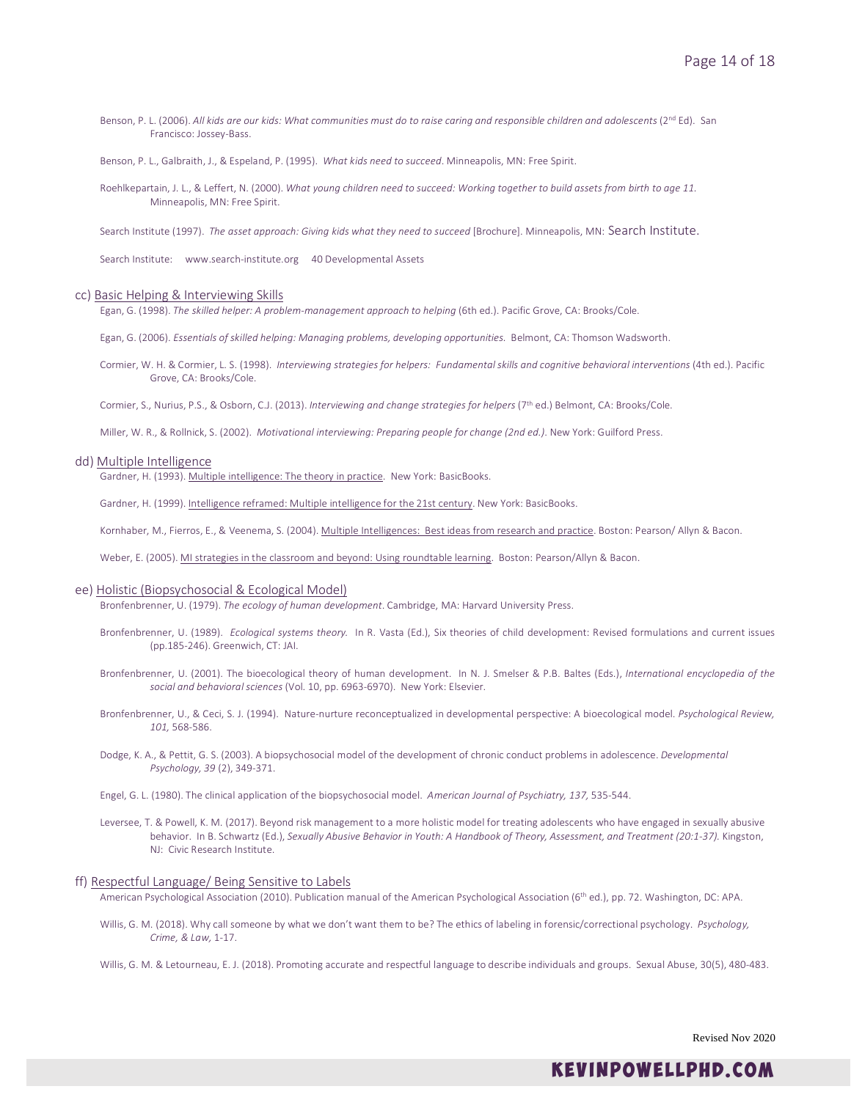Benson, P. L. (2006). All kids are our kids: What communities must do to raise caring and responsible children and adolescents (2<sup>nd</sup> Ed). San Francisco: Jossey-Bass.

Benson, P. L., Galbraith, J., & Espeland, P. (1995). *What kids need to succeed*. Minneapolis, MN: Free Spirit.

Roehlkepartain, J. L., & Leffert, N. (2000). *What young children need to succeed: Working together to build assets from birth to age 11.* Minneapolis, MN: Free Spirit.

Search Institute (1997). *The asset approach: Giving kids what they need to succeed* [Brochure]. Minneapolis, MN: Search Institute.

Search Institute: www.search-institute.org 40 Developmental Assets

#### cc) Basic Helping & Interviewing Skills

Egan, G. (1998). *The skilled helper: A problem-management approach to helping* (6th ed.). Pacific Grove, CA: Brooks/Cole.

Egan, G. (2006). *Essentials of skilled helping: Managing problems, developing opportunities.* Belmont, CA: Thomson Wadsworth.

Cormier, W. H. & Cormier, L. S. (1998). *Interviewing strategies for helpers: Fundamental skills and cognitive behavioral interventions* (4th ed.). Pacific Grove, CA: Brooks/Cole.

Cormier, S., Nurius, P.S., & Osborn, C.J. (2013). *Interviewing and change strategies for helpers* (7th ed.) Belmont, CA: Brooks/Cole.

Miller, W. R., & Rollnick, S. (2002). *Motivational interviewing: Preparing people for change (2nd ed.)*. New York: Guilford Press.

### dd) Multiple Intelligence

Gardner, H. (1993). Multiple intelligence: The theory in practice. New York: BasicBooks.

Gardner, H. (1999). Intelligence reframed: Multiple intelligence for the 21st century. New York: BasicBooks.

Kornhaber, M., Fierros, E., & Veenema, S. (2004). Multiple Intelligences: Best ideas from research and practice. Boston: Pearson/ Allyn & Bacon.

Weber, E. (2005). MI strategies in the classroom and beyond: Using roundtable learning. Boston: Pearson/Allyn & Bacon.

### ee) Holistic (Biopsychosocial & Ecological Model)

Bronfenbrenner, U. (1979). *The ecology of human development*. Cambridge, MA: Harvard University Press.

- Bronfenbrenner, U. (1989). *Ecological systems theory.* In R. Vasta (Ed.), Six theories of child development: Revised formulations and current issues (pp.185-246). Greenwich, CT: JAI.
- Bronfenbrenner, U. (2001). The bioecological theory of human development. In N. J. Smelser & P.B. Baltes (Eds.), *International encyclopedia of the social and behavioral sciences* (Vol. 10, pp. 6963-6970). New York: Elsevier.
- Bronfenbrenner, U., & Ceci, S. J. (1994). Nature-nurture reconceptualized in developmental perspective: A bioecological model. *Psychological Review, 101,* 568-586.
- Dodge, K. A., & Pettit, G. S. (2003). A biopsychosocial model of the development of chronic conduct problems in adolescence. *Developmental Psychology, 39* (2), 349-371.
- Engel, G. L. (1980). The clinical application of the biopsychosocial model. *American Journal of Psychiatry, 137,* 535-544.
- Leversee, T. & Powell, K. M. (2017). Beyond risk management to a more holistic model for treating adolescents who have engaged in sexually abusive behavior. In B. Schwartz (Ed.), *Sexually Abusive Behavior in Youth: A Handbook of Theory, Assessment, and Treatment (20:1-37).* Kingston, NJ: Civic Research Institute.

#### ff) Respectful Language/ Being Sensitive to Labels

American Psychological Association (2010). Publication manual of the American Psychological Association (6<sup>th</sup> ed.), pp. 72. Washington, DC: APA.

- Willis, G. M. (2018). Why call someone by what we don't want them to be? The ethics of labeling in forensic/correctional psychology. *Psychology, Crime, & Law,* 1-17.
- Willis, G. M. & Letourneau, E. J. (2018). Promoting accurate and respectful language to describe individuals and groups. Sexual Abuse, 30(5), 480-483.

Revised Nov 2020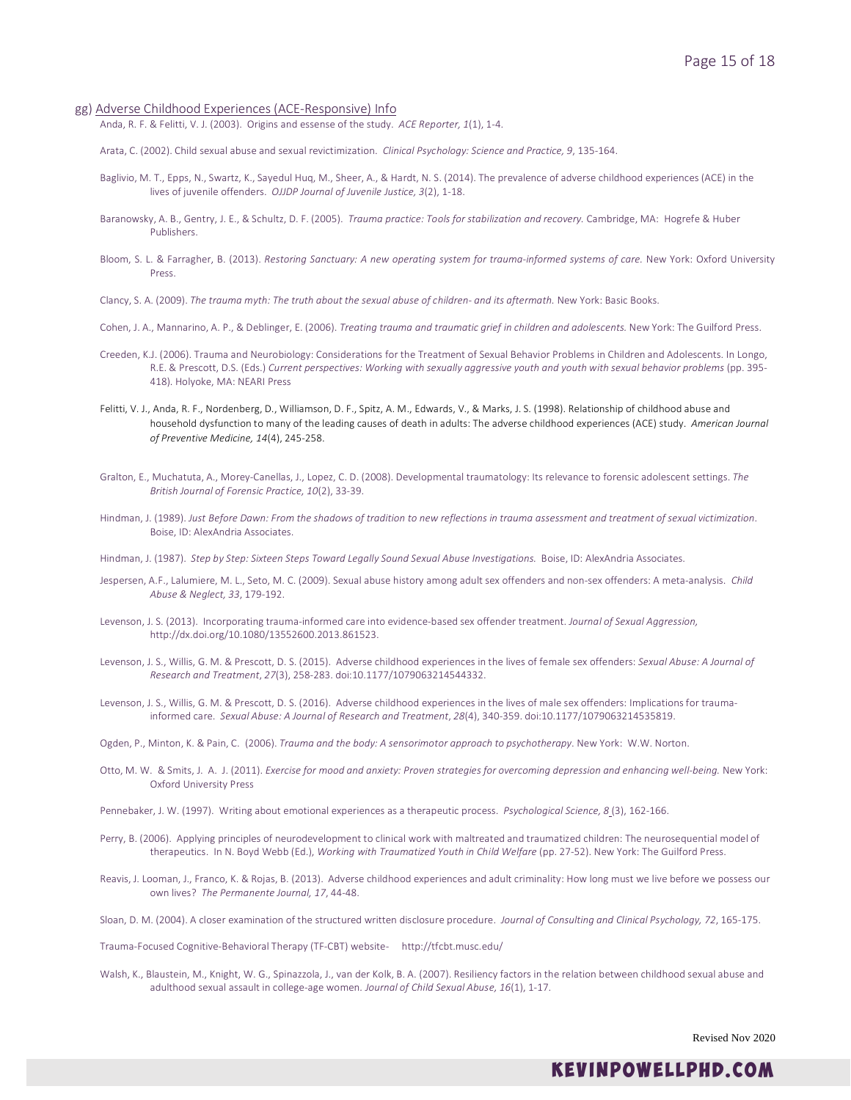- gg) Adverse Childhood Experiences (ACE-Responsive) Info
	- Anda, R. F. & Felitti, V. J. (2003). Origins and essense of the study. *ACE Reporter, 1*(1), 1-4.
	- Arata, C. (2002). Child sexual abuse and sexual revictimization. *Clinical Psychology: Science and Practice, 9*, 135-164.
	- Baglivio, M. T., Epps, N., Swartz, K., Sayedul Huq, M., Sheer, A., & Hardt, N. S. (2014). The prevalence of adverse childhood experiences (ACE) in the lives of juvenile offenders. *OJJDP Journal of Juvenile Justice, 3*(2), 1-18.
	- Baranowsky, A. B., Gentry, J. E., & Schultz, D. F. (2005). *Trauma practice: Tools for stabilization and recovery.* Cambridge, MA: Hogrefe & Huber Publishers.
	- Bloom, S. L. & Farragher, B. (2013). *Restoring Sanctuary: A new operating system for trauma-informed systems of care.* New York: Oxford University Press.
	- Clancy, S. A. (2009). *The trauma myth: The truth about the sexual abuse of children- and its aftermath.* New York: Basic Books.
	- Cohen, J. A., Mannarino, A. P., & Deblinger, E. (2006). *Treating trauma and traumatic grief in children and adolescents.* New York: The Guilford Press.
	- Creeden, K.J. (2006). Trauma and Neurobiology: Considerations for the Treatment of Sexual Behavior Problems in Children and Adolescents. In Longo, R.E. & Prescott, D.S. (Eds.) *Current perspectives: Working with sexually aggressive youth and youth with sexual behavior problems* (pp. 395- 418)*.* Holyoke, MA: NEARI Press
	- Felitti, V. J., Anda, R. F., Nordenberg, D., Williamson, D. F., Spitz, A. M., Edwards, V., & Marks, J. S. (1998). Relationship of childhood abuse and household dysfunction to many of the leading causes of death in adults: The adverse childhood experiences (ACE) study. *American Journal of Preventive Medicine, 14*(4), 245-258.
	- Gralton, E., Muchatuta, A., Morey-Canellas, J., Lopez, C. D. (2008). Developmental traumatology: Its relevance to forensic adolescent settings. *The British Journal of Forensic Practice, 10*(2), 33-39.
	- Hindman, J. (1989). *Just Before Dawn: From the shadows of tradition to new reflections in trauma assessment and treatment of sexual victimization*. Boise, ID: AlexAndria Associates.
	- Hindman, J. (1987). *Step by Step: Sixteen Steps Toward Legally Sound Sexual Abuse Investigations.* Boise, ID: AlexAndria Associates.
	- Jespersen, A.F., Lalumiere, M. L., Seto, M. C. (2009). Sexual abuse history among adult sex offenders and non-sex offenders: A meta-analysis. *Child Abuse & Neglect, 33*, 179-192.
	- Levenson, J. S. (2013). Incorporating trauma-informed care into evidence-based sex offender treatment. *Journal of Sexual Aggression,*  http://dx.doi.org/10.1080/13552600.2013.861523.
	- Levenson, J. S., Willis, G. M. & Prescott, D. S. (2015). Adverse childhood experiences in the lives of female sex offenders: *Sexual Abuse: A Journal of Research and Treatment*, *27*(3), 258-283. doi:10.1177/1079063214544332.
	- Levenson, J. S., Willis, G. M. & Prescott, D. S. (2016). Adverse childhood experiences in the lives of male sex offenders: Implications for traumainformed care. *Sexual Abuse: A Journal of Research and Treatment*, *28*(4), 340-359. doi:10.1177/1079063214535819.
	- Ogden, P., Minton, K. & Pain, C. (2006). *Trauma and the body: A sensorimotor approach to psychotherapy*. New York: W.W. Norton.
	- Otto, M. W. & Smits, J. A. J. (2011). *Exercise for mood and anxiety: Proven strategies for overcoming depression and enhancing well-being.* New York: Oxford University Press
	- Pennebaker, J. W. (1997). Writing about emotional experiences as a therapeutic process. *Psychological Science, 8* (3), 162-166.
	- Perry, B. (2006). Applying principles of neurodevelopment to clinical work with maltreated and traumatized children: The neurosequential model of therapeutics. In N. Boyd Webb (Ed.), *Working with Traumatized Youth in Child Welfare* (pp. 27-52). New York: The Guilford Press.
	- Reavis, J. Looman, J., Franco, K. & Rojas, B. (2013). Adverse childhood experiences and adult criminality: How long must we live before we possess our own lives? *The Permanente Journal, 17*, 44-48.
	- Sloan, D. M. (2004). A closer examination of the structured written disclosure procedure. *Journal of Consulting and Clinical Psychology, 72*, 165-175.

Trauma-Focused Cognitive-Behavioral Therapy (TF-CBT) website- http://tfcbt.musc.edu/

Walsh, K., Blaustein, M., Knight, W. G., Spinazzola, J., van der Kolk, B. A. (2007). Resiliency factors in the relation between childhood sexual abuse and adulthood sexual assault in college-age women*. Journal of Child Sexual Abuse, 16*(1), 1-17.

Revised Nov 2020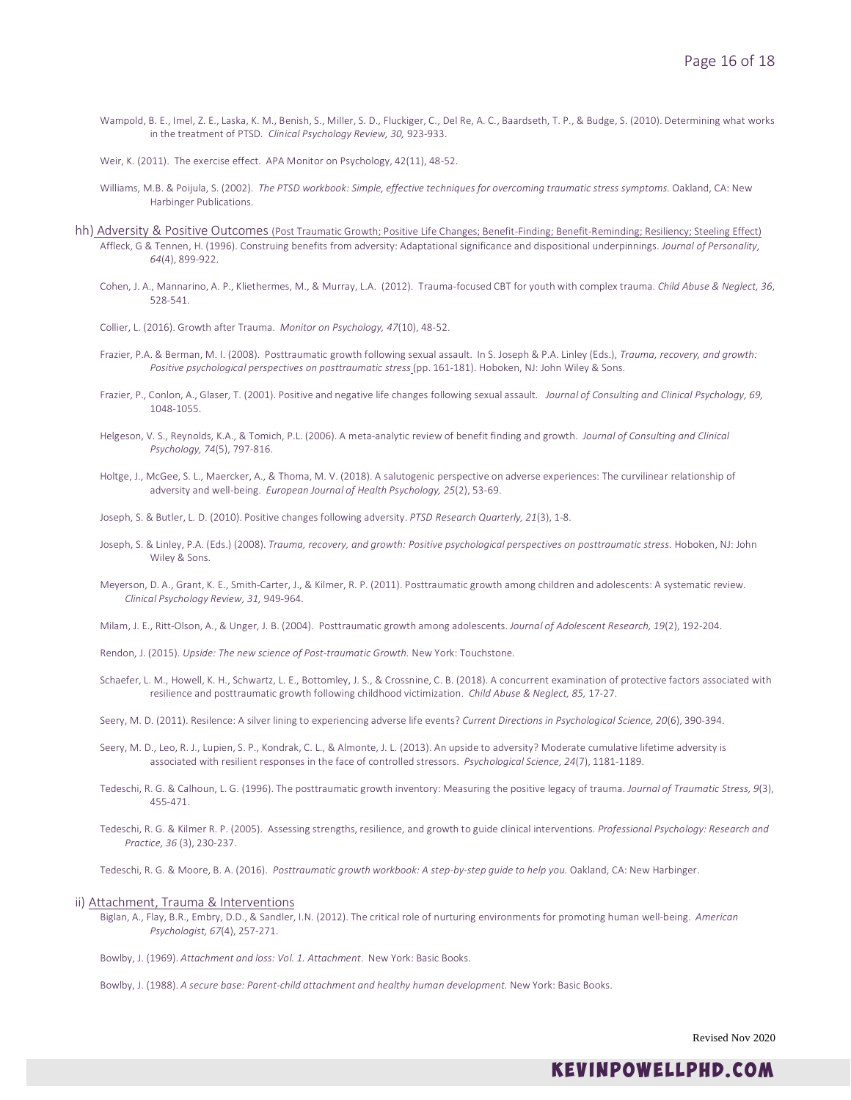- Wampold, B. E., Imel, Z. E., Laska, K. M., Benish, S., Miller, S. D., Fluckiger, C., Del Re, A. C., Baardseth, T. P., & Budge, S. (2010). Determining what works in the treatment of PTSD. *Clinical Psychology Review, 30,* 923-933.
- Weir, K. (2011). The exercise effect. APA Monitor on Psychology, 42(11), 48-52.
- Williams, M.B. & Poijula, S. (2002). The PTSD workbook: Simple, effective techniques for overcoming traumatic stress symptoms. Oakland, CA: New Harbinger Publications.
- hh) Adversity & Positive Outcomes (Post Traumatic Growth; Positive Life Changes; Benefit-Finding; Benefit-Reminding; Resiliency; Steeling Effect) Affleck, G & Tennen, H. (1996). Construing benefits from adversity: Adaptational significance and dispositional underpinnings. *Journal of Personality, 64*(4), 899-922.
	- Cohen, J. A., Mannarino, A. P., Kliethermes, M., & Murray, L.A. (2012). Trauma-focused CBT for youth with complex trauma. *Child Abuse & Neglect, 36*, 528-541.
	- Collier, L. (2016). Growth after Trauma. *Monitor on Psychology, 47*(10), 48-52.
	- Frazier, P.A. & Berman, M. I. (2008). Posttraumatic growth following sexual assault. In S. Joseph & P.A. Linley (Eds.), *Trauma, recovery, and growth: Positive psychological perspectives on posttraumatic stress* (pp. 161-181). Hoboken, NJ: John Wiley & Sons.
	- Frazier, P., Conlon, A., Glaser, T. (2001). Positive and negative life changes following sexual assault*. Journal of Consulting and Clinical Psychology, 69,*  1048-1055.
	- Helgeson, V. S., Reynolds, K.A., & Tomich, P.L. (2006). A meta-analytic review of benefit finding and growth. *Journal of Consulting and Clinical Psychology, 74*(5), 797-816.
	- Holtge, J., McGee, S. L., Maercker, A., & Thoma, M. V. (2018). A salutogenic perspective on adverse experiences: The curvilinear relationship of adversity and well-being. *European Journal of Health Psychology, 25*(2), 53-69.
	- Joseph, S. & Butler, L. D. (2010). Positive changes following adversity. *PTSD Research Quarterly, 21*(3), 1-8.
	- Joseph, S. & Linley, P.A. (Eds.) (2008). *Trauma, recovery, and growth: Positive psychological perspectives on posttraumatic stress*. Hoboken, NJ: John Wiley & Sons.
	- Meyerson, D. A., Grant, K. E., Smith-Carter, J., & Kilmer, R. P. (2011). Posttraumatic growth among children and adolescents: A systematic review. *Clinical Psychology Review, 31,* 949-964.
	- Milam, J. E., Ritt-Olson, A., & Unger, J. B. (2004). Posttraumatic growth among adolescents. *Journal of Adolescent Research, 19*(2), 192-204.
	- Rendon, J. (2015). *Upside: The new science of Post-traumatic Growth.* New York: Touchstone.
	- Schaefer, L. M., Howell, K. H., Schwartz, L. E., Bottomley, J. S., & Crossnine, C. B. (2018). A concurrent examination of protective factors associated with resilience and posttraumatic growth following childhood victimization. *Child Abuse & Neglect, 85,* 17-27.

Seery, M. D. (2011). Resilence: A silver lining to experiencing adverse life events? *Current Directions in Psychological Science, 20*(6), 390-394.

- Seery, M. D., Leo, R. J., Lupien, S. P., Kondrak, C. L., & Almonte, J. L. (2013). An upside to adversity? Moderate cumulative lifetime adversity is associated with resilient responses in the face of controlled stressors. *Psychological Science, 24*(7), 1181-1189.
- Tedeschi, R. G. & Calhoun, L. G. (1996). The posttraumatic growth inventory: Measuring the positive legacy of trauma. *Journal of Traumatic Stress, 9*(3), 455-471.
- Tedeschi, R. G. & Kilmer R. P. (2005). Assessing strengths, resilience, and growth to guide clinical interventions. *Professional Psychology: Research and Practice, 36* (3), 230-237.

Tedeschi, R. G. & Moore, B. A. (2016). *Posttraumatic growth workbook: A step-by-step guide to help you.* Oakland, CA: New Harbinger.

### ii) Attachment, Trauma & Interventions

- Biglan, A., Flay, B.R., Embry, D.D., & Sandler, I.N. (2012). The critical role of nurturing environments for promoting human well-being. *American Psychologist, 67*(4), 257-271.
- Bowlby, J. (1969). *Attachment and loss: Vol. 1. Attachment*. New York: Basic Books.
- Bowlby, J. (1988). *A secure base: Parent-child attachment and healthy human development.* New York: Basic Books.

Revised Nov 2020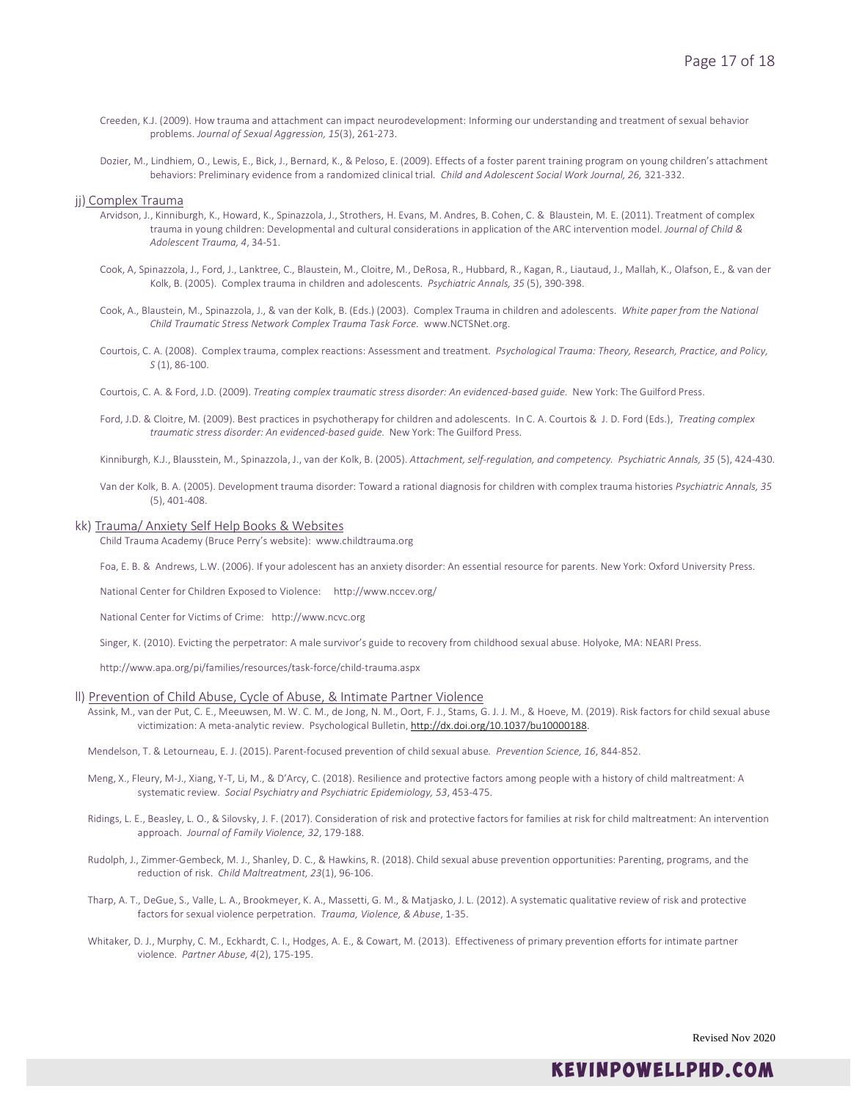- Creeden, K.J. (2009). How trauma and attachment can impact neurodevelopment: Informing our understanding and treatment of sexual behavior problems. *Journal of Sexual Aggression, 15*(3), 261-273.
- Dozier, M., Lindhiem, O., Lewis, E., Bick, J., Bernard, K., & Peloso, E. (2009). Effects of a foster parent training program on young children's attachment behaviors: Preliminary evidence from a randomized clinical trial. *Child and Adolescent Social Work Journal, 26,* 321-332.

#### jj) Complex Trauma

- Arvidson, J., Kinniburgh, K., Howard, K., Spinazzola, J., Strothers, H. Evans, M. Andres, B. Cohen, C. & Blaustein, M. E. (2011). Treatment of complex trauma in young children: Developmental and cultural considerations in application of the ARC intervention model. *Journal of Child & Adolescent Trauma, 4*, 34-51.
- Cook, A, Spinazzola, J., Ford, J., Lanktree, C., Blaustein, M., Cloitre, M., DeRosa, R., Hubbard, R., Kagan, R., Liautaud, J., Mallah, K., Olafson, E., & van der Kolk, B. (2005). Complex trauma in children and adolescents. *Psychiatric Annals, 35* (5), 390-398.
- Cook, A., Blaustein, M., Spinazzola, J., & van der Kolk, B. (Eds.) (2003). Complex Trauma in children and adolescents. *White paper from the National Child Traumatic Stress Network Complex Trauma Task Force.* www.NCTSNet.org.
- Courtois, C. A. (2008). Complex trauma, complex reactions: Assessment and treatment. *Psychological Trauma: Theory, Research, Practice, and Policy, S* (1), 86-100.
- Courtois, C. A. & Ford, J.D. (2009). *Treating complex traumatic stress disorder: An evidenced-based guide.* New York: The Guilford Press.
- Ford, J.D. & Cloitre, M. (2009). Best practices in psychotherapy for children and adolescents. In C. A. Courtois & J. D. Ford (Eds.), *Treating complex traumatic stress disorder: An evidenced-based guide.* New York: The Guilford Press.

Kinniburgh, K.J., Blausstein, M., Spinazzola, J., van der Kolk, B. (2005). *Attachment, self-regulation, and competency. Psychiatric Annals, 35* (5), 424-430.

Van der Kolk, B. A. (2005). Development trauma disorder: Toward a rational diagnosis for children with complex trauma histories *Psychiatric Annals, 35*  (5), 401-408.

### kk) Trauma/ Anxiety Self Help Books & Websites

Child Trauma Academy (Bruce Perry's website): www.childtrauma.org

Foa, E. B. & Andrews, L.W. (2006). If your adolescent has an anxiety disorder: An essential resource for parents. New York: Oxford University Press.

National Center for Children Exposed to Violence: http://www.nccev.org/

National Center for Victims of Crime: http://www.ncvc.org

Singer, K. (2010). Evicting the perpetrator: A male survivor's guide to recovery from childhood sexual abuse. Holyoke, MA: NEARI Press.

http://www.apa.org/pi/families/resources/task-force/child-trauma.aspx

### ll) Prevention of Child Abuse, Cycle of Abuse, & Intimate Partner Violence

Assink, M., van der Put, C. E., Meeuwsen, M. W. C. M., de Jong, N. M., Oort, F. J., Stams, G. J. J. M., & Hoeve, M. (2019). Risk factors for child sexual abuse victimization: A meta-analytic review. Psychological Bulletin, [http://dx.doi.org/10.1037/bu10000188.](http://dx.doi.org/10.1037/bu10000188)

Mendelson, T. & Letourneau, E. J. (2015). Parent-focused prevention of child sexual abuse*. Prevention Science, 16*, 844-852.

- Meng, X., Fleury, M-J., Xiang, Y-T, Li, M., & D'Arcy, C. (2018). Resilience and protective factors among people with a history of child maltreatment: A systematic review. *Social Psychiatry and Psychiatric Epidemiology, 53*, 453-475.
- Ridings, L. E., Beasley, L. O., & Silovsky, J. F. (2017). Consideration of risk and protective factors for families at risk for child maltreatment: An intervention approach*. Journal of Family Violence, 32*, 179-188.
- Rudolph, J., Zimmer-Gembeck, M. J., Shanley, D. C., & Hawkins, R. (2018). Child sexual abuse prevention opportunities: Parenting, programs, and the reduction of risk. *Child Maltreatment, 23*(1), 96-106.
- Tharp, A. T., DeGue, S., Valle, L. A., Brookmeyer, K. A., Massetti, G. M., & Matjasko, J. L. (2012). A systematic qualitative review of risk and protective factors for sexual violence perpetration. *Trauma, Violence, & Abuse*, 1-35.
- Whitaker, D. J., Murphy, C. M., Eckhardt, C. I., Hodges, A. E., & Cowart, M. (2013). Effectiveness of primary prevention efforts for intimate partner violence. *Partner Abuse, 4*(2), 175-195.

Revised Nov 2020